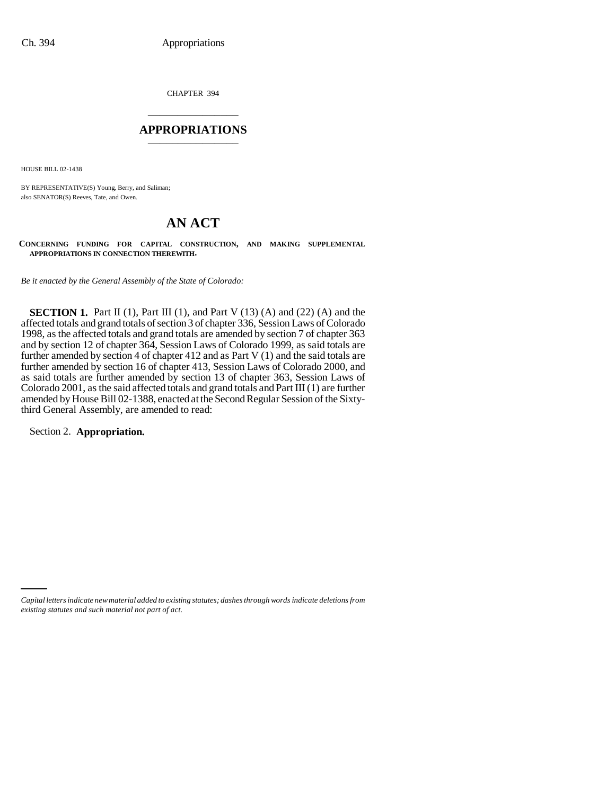CHAPTER 394 \_\_\_\_\_\_\_\_\_\_\_\_\_\_\_

### **APPROPRIATIONS** \_\_\_\_\_\_\_\_\_\_\_\_\_\_\_

HOUSE BILL 02-1438

BY REPRESENTATIVE(S) Young, Berry, and Saliman; also SENATOR(S) Reeves, Tate, and Owen.

# **AN ACT**

**CONCERNING FUNDING FOR CAPITAL CONSTRUCTION, AND MAKING SUPPLEMENTAL APPROPRIATIONS IN CONNECTION THEREWITH.**

*Be it enacted by the General Assembly of the State of Colorado:*

**SECTION 1.** Part II (1), Part III (1), and Part V (13) (A) and (22) (A) and the affected totals and grand totals of section 3 of chapter 336, Session Laws of Colorado 1998, as the affected totals and grand totals are amended by section 7 of chapter 363 and by section 12 of chapter 364, Session Laws of Colorado 1999, as said totals are further amended by section 4 of chapter 412 and as Part V (1) and the said totals are further amended by section 16 of chapter 413, Session Laws of Colorado 2000, and as said totals are further amended by section 13 of chapter 363, Session Laws of Colorado 2001, as the said affected totals and grand totals and Part III (1) are further amended by House Bill 02-1388, enacted at the Second Regular Session of the Sixtythird General Assembly, are amended to read:

Section 2. **Appropriation.**

*Capital letters indicate new material added to existing statutes; dashes through words indicate deletions from existing statutes and such material not part of act.*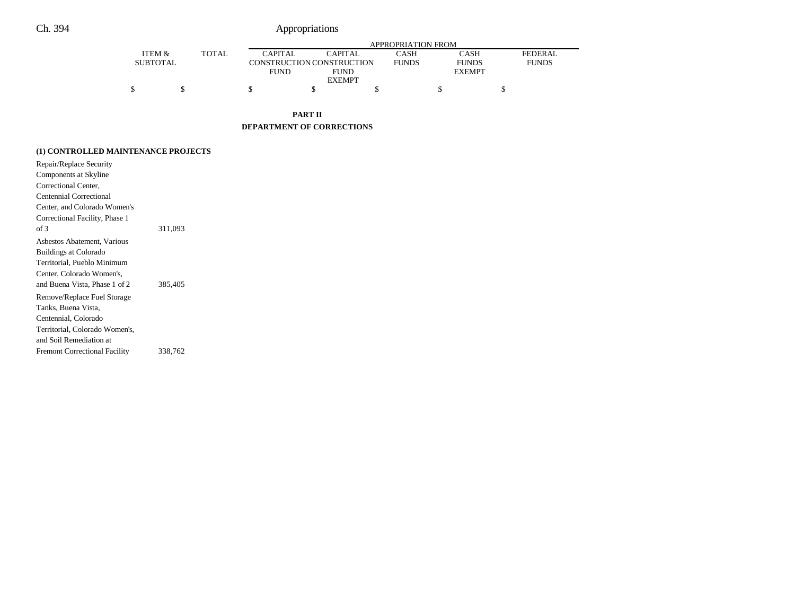|                 |              | APPROPRIATION FROM |                           |              |               |                |  |  |  |
|-----------------|--------------|--------------------|---------------------------|--------------|---------------|----------------|--|--|--|
| ITEM &          | <b>TOTAL</b> | CAPITAL            | CAPITAL                   | CASH         | CASH          | <b>FEDERAL</b> |  |  |  |
| <b>SUBTOTAL</b> |              |                    | CONSTRUCTION CONSTRUCTION | <b>FUNDS</b> | <b>FUNDS</b>  | <b>FUNDS</b>   |  |  |  |
|                 |              | <b>FUND</b>        | <b>FUND</b>               |              | <b>EXEMPT</b> |                |  |  |  |
|                 |              |                    | <b>EXEMPT</b>             |              |               |                |  |  |  |
|                 |              |                    |                           |              |               |                |  |  |  |

**PART II DEPARTMENT OF CORRECTIONS**

### **(1) CONTROLLED MAINTENANCE PROJECTS**

| Repair/Replace Security              |         |
|--------------------------------------|---------|
| Components at Skyline                |         |
| Correctional Center,                 |         |
| Centennial Correctional              |         |
| Center, and Colorado Women's         |         |
| Correctional Facility, Phase 1       |         |
| of 3                                 | 311,093 |
| Asbestos Abatement, Various          |         |
| Buildings at Colorado                |         |
| Territorial, Pueblo Minimum          |         |
| Center, Colorado Women's,            |         |
| and Buena Vista, Phase 1 of 2        | 385,405 |
| Remove/Replace Fuel Storage          |         |
| Tanks, Buena Vista,                  |         |
| Centennial, Colorado                 |         |
| Territorial, Colorado Women's,       |         |
| and Soil Remediation at              |         |
| <b>Fremont Correctional Facility</b> | 338,762 |
|                                      |         |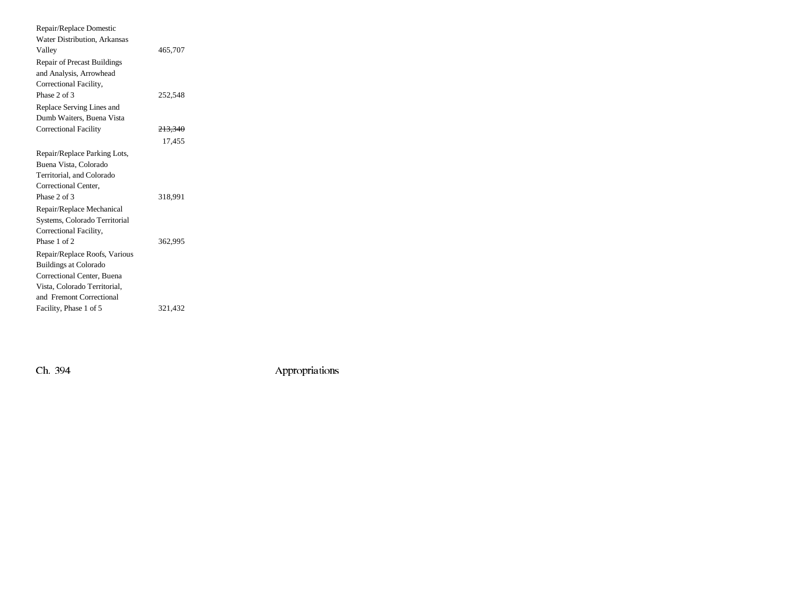| 465,707            |
|--------------------|
|                    |
|                    |
|                    |
| 252,548            |
|                    |
|                    |
| <del>213,340</del> |
| 17,455             |
|                    |
|                    |
|                    |
|                    |
| 318,991            |
|                    |
|                    |
|                    |
| 362,995            |
|                    |
|                    |
|                    |
|                    |
|                    |
| 321,432            |
|                    |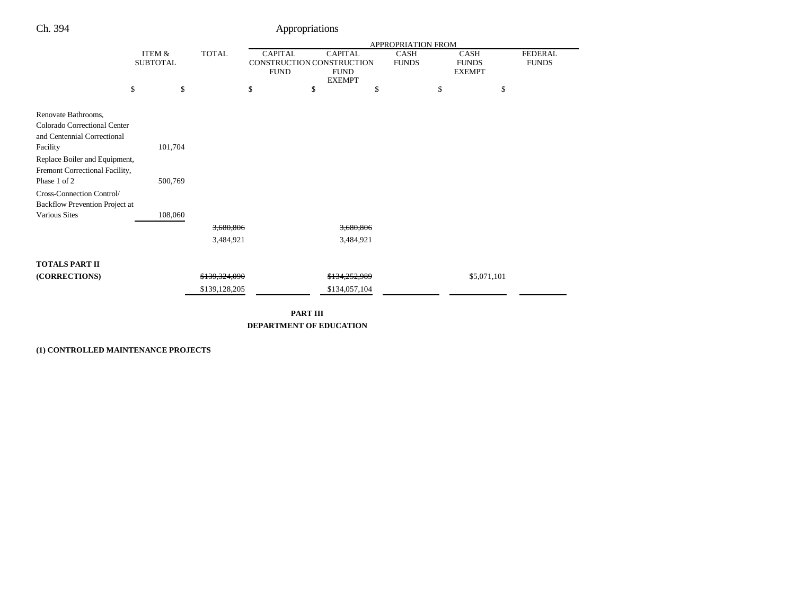|                                |                   |               | APPROPRIATION FROM |                              |    |              |               |                |
|--------------------------------|-------------------|---------------|--------------------|------------------------------|----|--------------|---------------|----------------|
|                                | <b>ITEM &amp;</b> | <b>TOTAL</b>  | <b>CAPITAL</b>     | <b>CAPITAL</b>               |    | CASH         | <b>CASH</b>   | <b>FEDERAL</b> |
|                                | <b>SUBTOTAL</b>   |               |                    | CONSTRUCTION CONSTRUCTION    |    | <b>FUNDS</b> | <b>FUNDS</b>  | <b>FUNDS</b>   |
|                                |                   |               | <b>FUND</b>        | <b>FUND</b><br><b>EXEMPT</b> |    |              | <b>EXEMPT</b> |                |
|                                | \$<br>\$          |               | \$                 | \$                           | \$ | \$           | \$            |                |
|                                |                   |               |                    |                              |    |              |               |                |
| Renovate Bathrooms,            |                   |               |                    |                              |    |              |               |                |
| Colorado Correctional Center   |                   |               |                    |                              |    |              |               |                |
| and Centennial Correctional    |                   |               |                    |                              |    |              |               |                |
| Facility                       | 101,704           |               |                    |                              |    |              |               |                |
| Replace Boiler and Equipment,  |                   |               |                    |                              |    |              |               |                |
| Fremont Correctional Facility, |                   |               |                    |                              |    |              |               |                |
| Phase 1 of 2                   | 500,769           |               |                    |                              |    |              |               |                |
| Cross-Connection Control/      |                   |               |                    |                              |    |              |               |                |
| Backflow Prevention Project at |                   |               |                    |                              |    |              |               |                |
| <b>Various Sites</b>           | 108,060           |               |                    |                              |    |              |               |                |
|                                |                   | 3,680,806     |                    | 3,680,806                    |    |              |               |                |
|                                |                   | 3,484,921     |                    | 3,484,921                    |    |              |               |                |
|                                |                   |               |                    |                              |    |              |               |                |
| <b>TOTALS PART II</b>          |                   |               |                    |                              |    |              |               |                |
| (CORRECTIONS)                  |                   | \$139,324,090 |                    | \$134,252,989                |    |              | \$5,071,101   |                |
|                                |                   | \$139,128,205 |                    | \$134,057,104                |    |              |               |                |
|                                |                   |               |                    | <b>PART III</b>              |    |              |               |                |
|                                |                   |               |                    |                              |    |              |               |                |

**DEPARTMENT OF EDUCATION**

### **(1) CONTROLLED MAINTENANCE PROJECTS**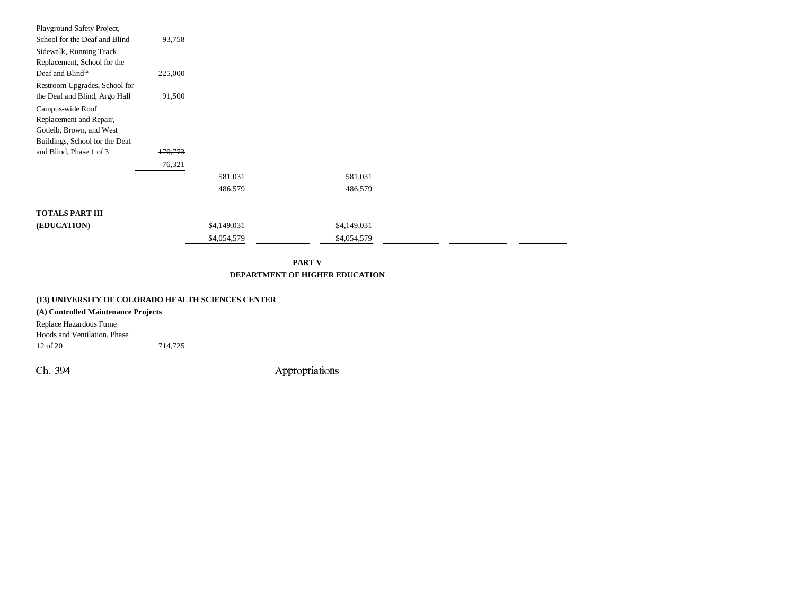| Playground Safety Project,<br>School for the Deaf and Blind | 93,758  |             |             |         |  |
|-------------------------------------------------------------|---------|-------------|-------------|---------|--|
| Sidewalk, Running Track<br>Replacement, School for the      |         |             |             |         |  |
| Deaf and Blind <sup>1a</sup>                                | 225,000 |             |             |         |  |
| Restroom Upgrades, School for                               |         |             |             |         |  |
| the Deaf and Blind, Argo Hall                               | 91,500  |             |             |         |  |
| Campus-wide Roof                                            |         |             |             |         |  |
| Replacement and Repair,                                     |         |             |             |         |  |
| Gotleib, Brown, and West                                    |         |             |             |         |  |
| Buildings, School for the Deaf                              |         |             |             |         |  |
| and Blind, Phase 1 of 3                                     | 170,773 |             |             |         |  |
|                                                             | 76,321  |             |             |         |  |
|                                                             |         | 581,031     |             | 581,031 |  |
|                                                             |         | 486,579     |             | 486,579 |  |
| <b>TOTALS PART III</b>                                      |         |             |             |         |  |
| (EDUCATION)                                                 |         | \$4,149,031 | \$4,149,031 |         |  |
|                                                             |         | \$4,054,579 | \$4,054,579 |         |  |
|                                                             |         |             |             |         |  |

**PART V DEPARTMENT OF HIGHER EDUCATION**

### **(13) UNIVERSITY OF COLORADO HEALTH SCIENCES CENTER**

**(A) Controlled Maintenance Projects** Replace Hazardous Fume Hoods and Ventilation, Phase

12 of 20 714,725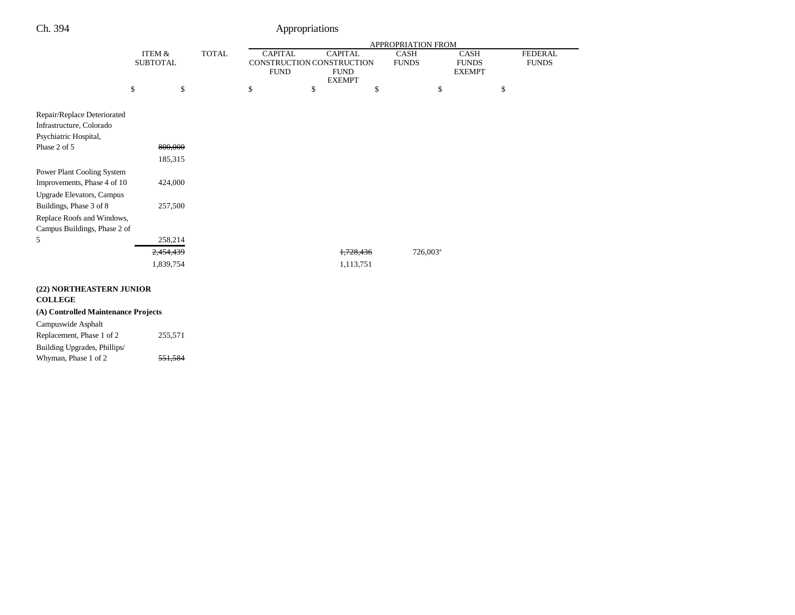|                                     |                                      |              | APPROPRIATION FROM                                                                                           |    |           |                      |                                              |                                |  |  |
|-------------------------------------|--------------------------------------|--------------|--------------------------------------------------------------------------------------------------------------|----|-----------|----------------------|----------------------------------------------|--------------------------------|--|--|
|                                     | <b>ITEM &amp;</b><br><b>SUBTOTAL</b> | <b>TOTAL</b> | <b>CAPITAL</b><br><b>CAPITAL</b><br>CONSTRUCTION CONSTRUCTION<br><b>FUND</b><br><b>FUND</b><br><b>EXEMPT</b> |    |           | CASH<br><b>FUNDS</b> | <b>CASH</b><br><b>FUNDS</b><br><b>EXEMPT</b> | <b>FEDERAL</b><br><b>FUNDS</b> |  |  |
|                                     | \$<br>\$                             |              | \$                                                                                                           | \$ | \$        | \$                   |                                              | \$                             |  |  |
| Repair/Replace Deteriorated         |                                      |              |                                                                                                              |    |           |                      |                                              |                                |  |  |
| Infrastructure, Colorado            |                                      |              |                                                                                                              |    |           |                      |                                              |                                |  |  |
| Psychiatric Hospital,               |                                      |              |                                                                                                              |    |           |                      |                                              |                                |  |  |
| Phase 2 of 5                        | 800,000                              |              |                                                                                                              |    |           |                      |                                              |                                |  |  |
|                                     | 185,315                              |              |                                                                                                              |    |           |                      |                                              |                                |  |  |
| Power Plant Cooling System          |                                      |              |                                                                                                              |    |           |                      |                                              |                                |  |  |
| Improvements, Phase 4 of 10         | 424,000                              |              |                                                                                                              |    |           |                      |                                              |                                |  |  |
| Upgrade Elevators, Campus           |                                      |              |                                                                                                              |    |           |                      |                                              |                                |  |  |
| Buildings, Phase 3 of 8             | 257,500                              |              |                                                                                                              |    |           |                      |                                              |                                |  |  |
| Replace Roofs and Windows,          |                                      |              |                                                                                                              |    |           |                      |                                              |                                |  |  |
| Campus Buildings, Phase 2 of        |                                      |              |                                                                                                              |    |           |                      |                                              |                                |  |  |
| 5                                   | 258,214                              |              |                                                                                                              |    |           |                      |                                              |                                |  |  |
|                                     | 2,454,439                            |              |                                                                                                              |    | 1,728,436 | 726,003 <sup>a</sup> |                                              |                                |  |  |
|                                     | 1,839,754                            |              |                                                                                                              |    | 1,113,751 |                      |                                              |                                |  |  |
| (22) NORTHEASTERN JUNIOR            |                                      |              |                                                                                                              |    |           |                      |                                              |                                |  |  |
| <b>COLLEGE</b>                      |                                      |              |                                                                                                              |    |           |                      |                                              |                                |  |  |
| (A) Controlled Maintenance Projects |                                      |              |                                                                                                              |    |           |                      |                                              |                                |  |  |
| Campuswide Asphalt                  |                                      |              |                                                                                                              |    |           |                      |                                              |                                |  |  |

Replacement, Phase 1 of 2 255,571 Building Upgrades, Phillips/ Whyman, Phase 1 of 2  $\overline{551,584}$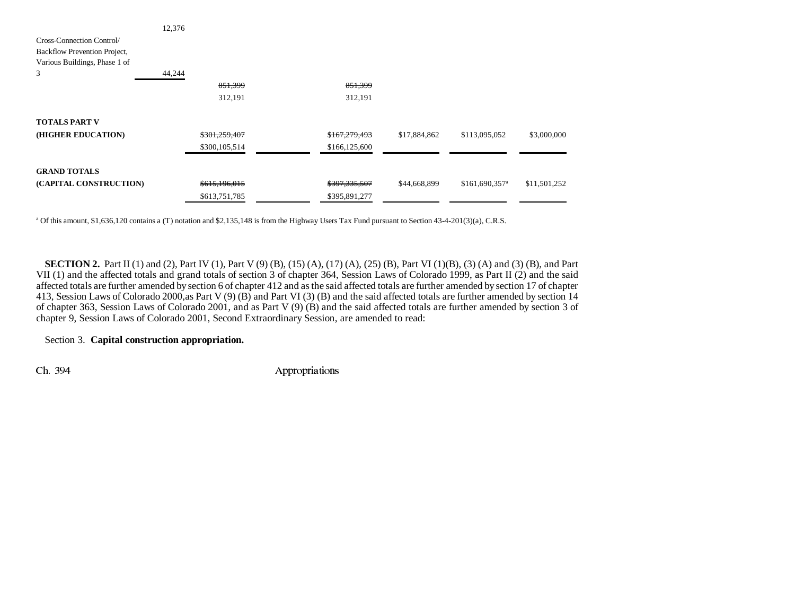|                               | 12,376        |               |              |                            |              |
|-------------------------------|---------------|---------------|--------------|----------------------------|--------------|
| Cross-Connection Control/     |               |               |              |                            |              |
| Backflow Prevention Project,  |               |               |              |                            |              |
| Various Buildings, Phase 1 of |               |               |              |                            |              |
| 3                             | 44,244        |               |              |                            |              |
|                               | 851,399       | 851,399       |              |                            |              |
|                               | 312,191       | 312,191       |              |                            |              |
| <b>TOTALS PART V</b>          |               |               |              |                            |              |
| (HIGHER EDUCATION)            | \$301,259,407 | \$167,279,493 | \$17,884,862 | \$113,095,052              | \$3,000,000  |
|                               | \$300,105,514 | \$166,125,600 |              |                            |              |
| <b>GRAND TOTALS</b>           |               |               |              |                            |              |
| (CAPITAL CONSTRUCTION)        | \$615,196,015 | \$397,335,507 | \$44,668,899 | \$161,690,357 <sup>a</sup> | \$11,501,252 |
|                               | \$613,751,785 | \$395,891,277 |              |                            |              |

a Of this amount, \$1,636,120 contains a (T) notation and \$2,135,148 is from the Highway Users Tax Fund pursuant to Section 43-4-201(3)(a), C.R.S.

**SECTION 2.** Part II (1) and (2), Part IV (1), Part V (9) (B), (15) (A), (17) (A), (25) (B), Part VI (1)(B), (3) (A) and (3) (B), and Part VII (1) and the affected totals and grand totals of section 3 of chapter 364, Session Laws of Colorado 1999, as Part II (2) and the said affected totals are further amended by section 6 of chapter 412 and as the said affected totals are further amended by section 17 of chapter 413, Session Laws of Colorado 2000,as Part V (9) (B) and Part VI (3) (B) and the said affected totals are further amended by section 14 of chapter 363, Session Laws of Colorado 2001, and as Part V (9) (B) and the said affected totals are further amended by section 3 of chapter 9, Session Laws of Colorado 2001, Second Extraordinary Session, are amended to read:

Section 3. **Capital construction appropriation.**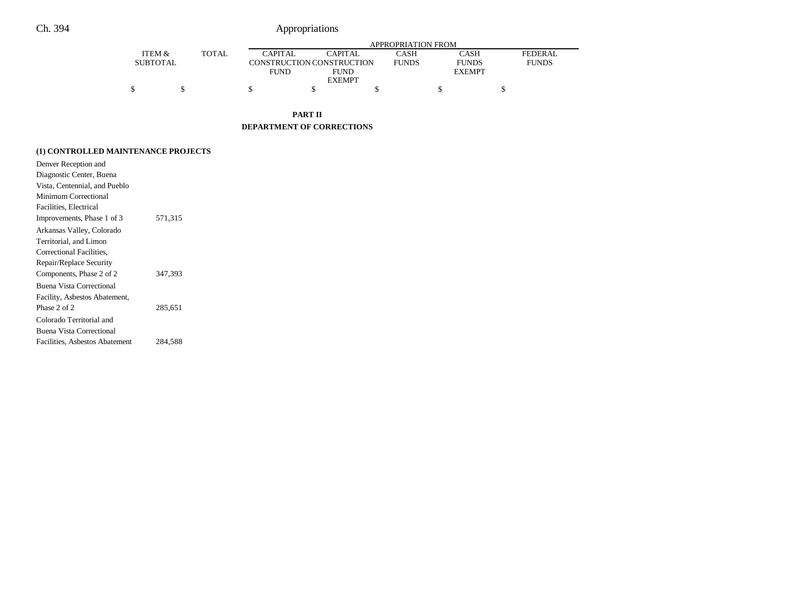|          |       | APPROPRIATION FROM |                           |              |               |              |  |  |  |  |
|----------|-------|--------------------|---------------------------|--------------|---------------|--------------|--|--|--|--|
| ITEM &   | TOTAL | <b>CAPITAL</b>     | CAPITAL                   | CASH         | CASH          | FEDERAL      |  |  |  |  |
| SUBTOTAL |       |                    | CONSTRUCTION CONSTRUCTION | <b>FUNDS</b> | <b>FUNDS</b>  | <b>FUNDS</b> |  |  |  |  |
|          |       | <b>FUND</b>        | <b>FUND</b>               |              | <b>EXEMPT</b> |              |  |  |  |  |
|          |       |                    | <b>EXEMPT</b>             |              |               |              |  |  |  |  |
|          |       |                    |                           |              |               |              |  |  |  |  |

**PART II DEPARTMENT OF CORRECTIONS**

### **(1) CONTROLLED MAINTENANCE PROJECTS**

| Denver Reception and           |         |
|--------------------------------|---------|
| Diagnostic Center, Buena       |         |
| Vista, Centennial, and Pueblo  |         |
| Minimum Correctional           |         |
| Facilities, Electrical         |         |
| Improvements, Phase 1 of 3     | 571,315 |
| Arkansas Valley, Colorado      |         |
| Territorial, and Limon         |         |
| Correctional Facilities.       |         |
| Repair/Replace Security        |         |
| Components, Phase 2 of 2       | 347.393 |
| Buena Vista Correctional       |         |
| Facility, Asbestos Abatement,  |         |
| Phase 2 of 2                   | 285,651 |
| Colorado Territorial and       |         |
| Buena Vista Correctional       |         |
| Facilities, Asbestos Abatement | 284,588 |
|                                |         |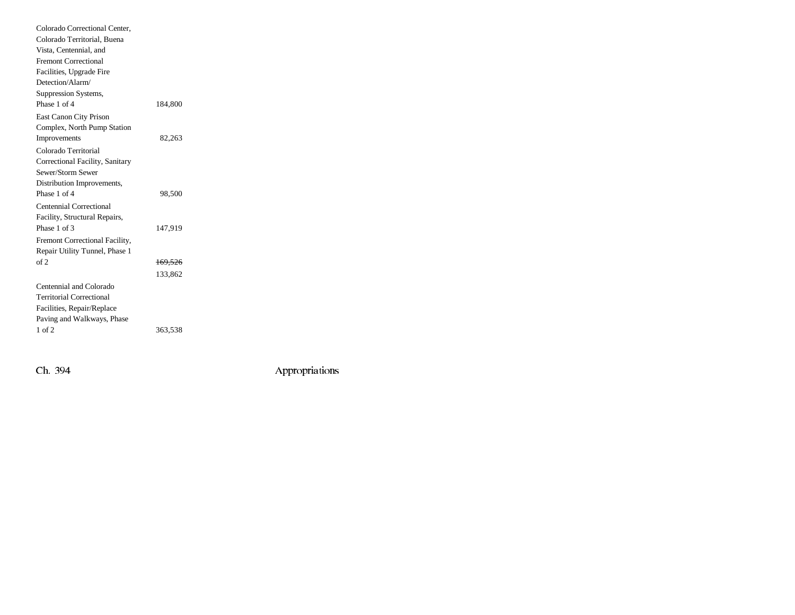| Colorado Correctional Center,   |         |  |
|---------------------------------|---------|--|
| Colorado Territorial, Buena     |         |  |
| Vista, Centennial, and          |         |  |
| <b>Fremont Correctional</b>     |         |  |
| Facilities, Upgrade Fire        |         |  |
| Detection/Alarm/                |         |  |
| Suppression Systems,            |         |  |
| Phase 1 of 4                    | 184,800 |  |
| East Canon City Prison          |         |  |
| Complex, North Pump Station     |         |  |
| Improvements                    | 82,263  |  |
| Colorado Territorial            |         |  |
| Correctional Facility, Sanitary |         |  |
| Sewer/Storm Sewer               |         |  |
| Distribution Improvements,      |         |  |
| Phase 1 of 4                    | 98,500  |  |
| Centennial Correctional         |         |  |
| Facility, Structural Repairs,   |         |  |
| Phase 1 of 3                    | 147,919 |  |
| Fremont Correctional Facility,  |         |  |
| Repair Utility Tunnel, Phase 1  |         |  |
| of 2                            | 169,526 |  |
|                                 | 133,862 |  |
| Centennial and Colorado         |         |  |
| <b>Territorial Correctional</b> |         |  |
| Facilities, Repair/Replace      |         |  |
| Paving and Walkways, Phase      |         |  |
| $1$ of $2$                      | 363,538 |  |
|                                 |         |  |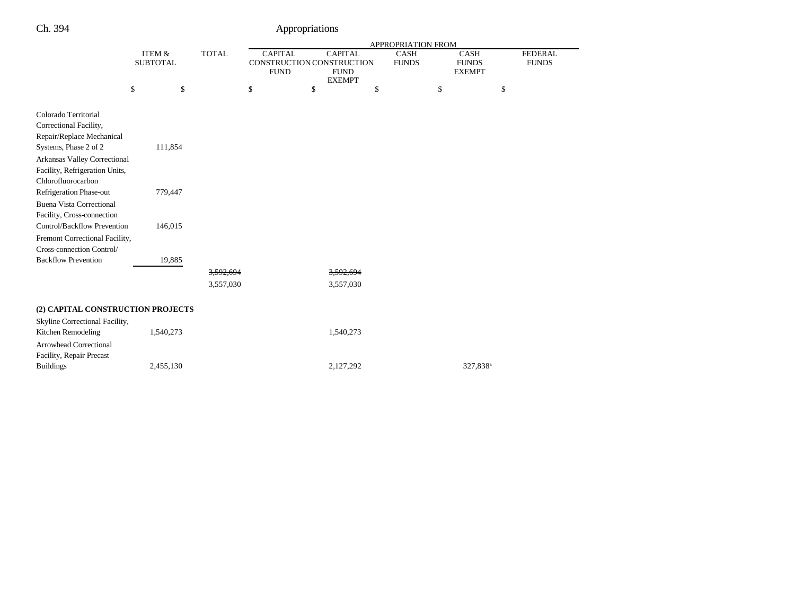|                                                                                                      |                                      |              | APPROPRIATION FROM                                                                                           |    |                             |                                       |                                |    |  |
|------------------------------------------------------------------------------------------------------|--------------------------------------|--------------|--------------------------------------------------------------------------------------------------------------|----|-----------------------------|---------------------------------------|--------------------------------|----|--|
|                                                                                                      | <b>ITEM &amp;</b><br><b>SUBTOTAL</b> | <b>TOTAL</b> | <b>CAPITAL</b><br><b>CAPITAL</b><br>CONSTRUCTION CONSTRUCTION<br><b>FUND</b><br><b>FUND</b><br><b>EXEMPT</b> |    | <b>CASH</b><br><b>FUNDS</b> | CASH<br><b>FUNDS</b><br><b>EXEMPT</b> | <b>FEDERAL</b><br><b>FUNDS</b> |    |  |
|                                                                                                      | \$<br>\$                             |              | \$                                                                                                           | \$ |                             | \$                                    | \$                             | \$ |  |
| Colorado Territorial<br>Correctional Facility,<br>Repair/Replace Mechanical<br>Systems, Phase 2 of 2 | 111,854                              |              |                                                                                                              |    |                             |                                       |                                |    |  |
| Arkansas Valley Correctional<br>Facility, Refrigeration Units,<br>Chlorofluorocarbon                 |                                      |              |                                                                                                              |    |                             |                                       |                                |    |  |
| Refrigeration Phase-out<br><b>Buena Vista Correctional</b><br>Facility, Cross-connection             | 779,447                              |              |                                                                                                              |    |                             |                                       |                                |    |  |
| Control/Backflow Prevention<br>Fremont Correctional Facility,<br>Cross-connection Control/           | 146,015                              |              |                                                                                                              |    |                             |                                       |                                |    |  |
| <b>Backflow Prevention</b>                                                                           | 19,885                               |              |                                                                                                              |    |                             |                                       |                                |    |  |
|                                                                                                      |                                      | 3.592.694    |                                                                                                              |    | 3.592.694                   |                                       |                                |    |  |
|                                                                                                      |                                      | 3,557,030    |                                                                                                              |    | 3,557,030                   |                                       |                                |    |  |
| (2) CAPITAL CONSTRUCTION PROJECTS<br>Skyline Correctional Facility,                                  |                                      |              |                                                                                                              |    |                             |                                       |                                |    |  |
| Kitchen Remodeling<br><b>Arrowhead Correctional</b><br>Facility, Repair Precast                      | 1,540,273                            |              |                                                                                                              |    | 1,540,273                   |                                       |                                |    |  |
| <b>Buildings</b>                                                                                     | 2,455,130                            |              |                                                                                                              |    | 2,127,292                   |                                       | 327,838 <sup>a</sup>           |    |  |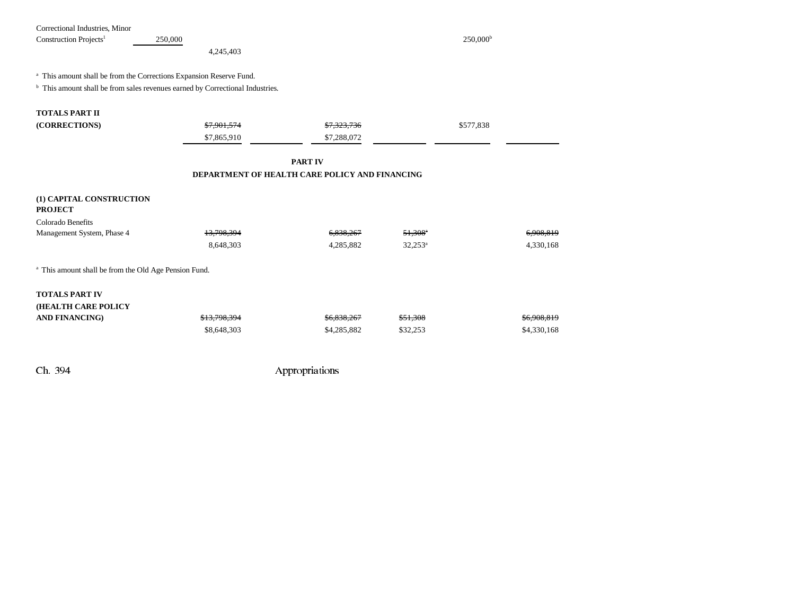| Correctional Industries, Minor<br>Construction Projects <sup>1</sup>           | 250,000<br>4,245,403                                                                     |                                                                  |                       | $250,000$ <sup>b</sup> |  |  |  |
|--------------------------------------------------------------------------------|------------------------------------------------------------------------------------------|------------------------------------------------------------------|-----------------------|------------------------|--|--|--|
| <sup>a</sup> This amount shall be from the Corrections Expansion Reserve Fund. |                                                                                          |                                                                  |                       |                        |  |  |  |
|                                                                                | <sup>b</sup> This amount shall be from sales revenues earned by Correctional Industries. |                                                                  |                       |                        |  |  |  |
| <b>TOTALS PART II</b>                                                          |                                                                                          |                                                                  |                       |                        |  |  |  |
| (CORRECTIONS)                                                                  | \$7,901,574                                                                              | \$7,323,736                                                      |                       | \$577,838              |  |  |  |
|                                                                                | \$7,865,910                                                                              | \$7,288,072                                                      |                       |                        |  |  |  |
|                                                                                |                                                                                          |                                                                  |                       |                        |  |  |  |
|                                                                                |                                                                                          | <b>PART IV</b><br>DEPARTMENT OF HEALTH CARE POLICY AND FINANCING |                       |                        |  |  |  |
|                                                                                |                                                                                          |                                                                  |                       |                        |  |  |  |
| (1) CAPITAL CONSTRUCTION<br><b>PROJECT</b>                                     |                                                                                          |                                                                  |                       |                        |  |  |  |
| Colorado Benefits                                                              |                                                                                          |                                                                  |                       |                        |  |  |  |
| Management System, Phase 4                                                     | 13,798,394                                                                               | 6,838,267                                                        | $51,308$ <sup>a</sup> | 6,908,819              |  |  |  |
|                                                                                | 8,648,303                                                                                | 4,285,882                                                        | $32,253^a$            | 4,330,168              |  |  |  |
| <sup>a</sup> This amount shall be from the Old Age Pension Fund.               |                                                                                          |                                                                  |                       |                        |  |  |  |
| <b>TOTALS PART IV</b>                                                          |                                                                                          |                                                                  |                       |                        |  |  |  |
| (HEALTH CARE POLICY                                                            |                                                                                          |                                                                  |                       |                        |  |  |  |
| <b>AND FINANCING)</b>                                                          | \$13,798,394                                                                             | \$6,838,267                                                      | \$51,308              | \$6,908,819            |  |  |  |
|                                                                                | \$8,648,303                                                                              | \$4,285,882                                                      | \$32,253              | \$4,330,168            |  |  |  |
|                                                                                |                                                                                          |                                                                  |                       |                        |  |  |  |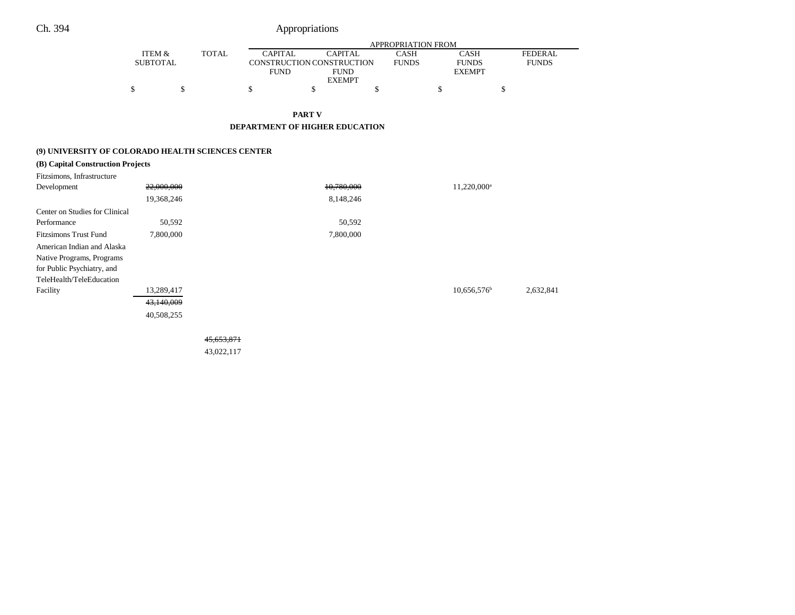|                                                   |                                      |              | <b>APPROPRIATION FROM</b> |                                             |                      |                             |                                |
|---------------------------------------------------|--------------------------------------|--------------|---------------------------|---------------------------------------------|----------------------|-----------------------------|--------------------------------|
|                                                   | <b>ITEM &amp;</b><br><b>SUBTOTAL</b> | <b>TOTAL</b> | <b>CAPITAL</b>            | <b>CAPITAL</b><br>CONSTRUCTION CONSTRUCTION | CASH<br><b>FUNDS</b> | <b>CASH</b><br><b>FUNDS</b> | <b>FEDERAL</b><br><b>FUNDS</b> |
|                                                   |                                      |              | <b>FUND</b>               | <b>FUND</b>                                 |                      | <b>EXEMPT</b>               |                                |
|                                                   |                                      |              |                           | <b>EXEMPT</b>                               |                      |                             |                                |
|                                                   | \$                                   | \$           | \$                        | \$                                          | \$                   | \$                          | \$                             |
|                                                   |                                      |              |                           | <b>PART V</b>                               |                      |                             |                                |
|                                                   |                                      |              |                           | <b>DEPARTMENT OF HIGHER EDUCATION</b>       |                      |                             |                                |
| (9) UNIVERSITY OF COLORADO HEALTH SCIENCES CENTER |                                      |              |                           |                                             |                      |                             |                                |
| (B) Capital Construction Projects                 |                                      |              |                           |                                             |                      |                             |                                |
| Fitzsimons, Infrastructure                        |                                      |              |                           |                                             |                      |                             |                                |
| Development                                       | 22,000,000                           |              |                           | 10,780,000                                  |                      | 11,220,000 <sup>a</sup>     |                                |
|                                                   | 19,368,246                           |              |                           | 8,148,246                                   |                      |                             |                                |
| Center on Studies for Clinical                    |                                      |              |                           |                                             |                      |                             |                                |
| Performance                                       | 50,592                               |              |                           | 50,592                                      |                      |                             |                                |
| <b>Fitzsimons Trust Fund</b>                      | 7,800,000                            |              |                           | 7,800,000                                   |                      |                             |                                |
| American Indian and Alaska                        |                                      |              |                           |                                             |                      |                             |                                |
| Native Programs, Programs                         |                                      |              |                           |                                             |                      |                             |                                |
| for Public Psychiatry, and                        |                                      |              |                           |                                             |                      |                             |                                |
| TeleHealth/TeleEducation                          |                                      |              |                           |                                             |                      |                             |                                |
| Facility                                          | 13,289,417                           |              |                           |                                             |                      | $10,656,576^b$              | 2,632,841                      |
|                                                   | 43,140,009                           |              |                           |                                             |                      |                             |                                |
|                                                   | 40,508,255                           |              |                           |                                             |                      |                             |                                |

45,653,871

43,022,117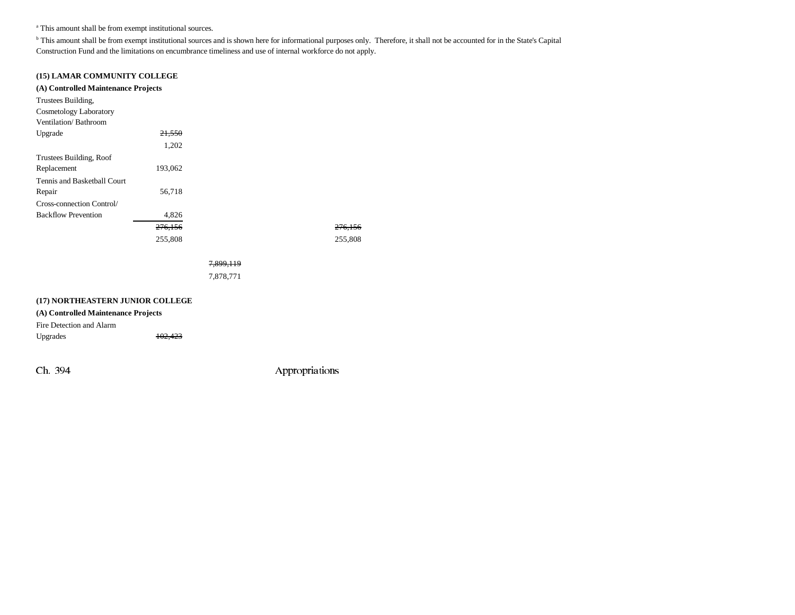a This amount shall be from exempt institutional sources.

**b** This amount shall be from exempt institutional sources and is shown here for informational purposes only. Therefore, it shall not be accounted for in the State's Capital Construction Fund and the limitations on encumbrance timeliness and use of internal workforce do not apply.

### **(15) LAMAR COMMUNITY COLLEGE**

| (A) Controlled Maintenance Projects |         |                    |
|-------------------------------------|---------|--------------------|
| Trustees Building,                  |         |                    |
| Cosmetology Laboratory              |         |                    |
| Ventilation/Bathroom                |         |                    |
| Upgrade                             | 21,550  |                    |
|                                     | 1,202   |                    |
| Trustees Building, Roof             |         |                    |
| Replacement                         | 193,062 |                    |
| Tennis and Basketball Court         |         |                    |
| Repair                              | 56,718  |                    |
| Cross-connection Control/           |         |                    |
| <b>Backflow Prevention</b>          | 4,826   |                    |
|                                     | 276,156 | <del>276,156</del> |
|                                     | 255,808 | 255,808            |
|                                     |         |                    |

7,878,771

### **(17) NORTHEASTERN JUNIOR COLLEGE**

**(A) Controlled Maintenance Projects** Fire Detection and Alarm Upgrades  $\frac{102,423}{2}$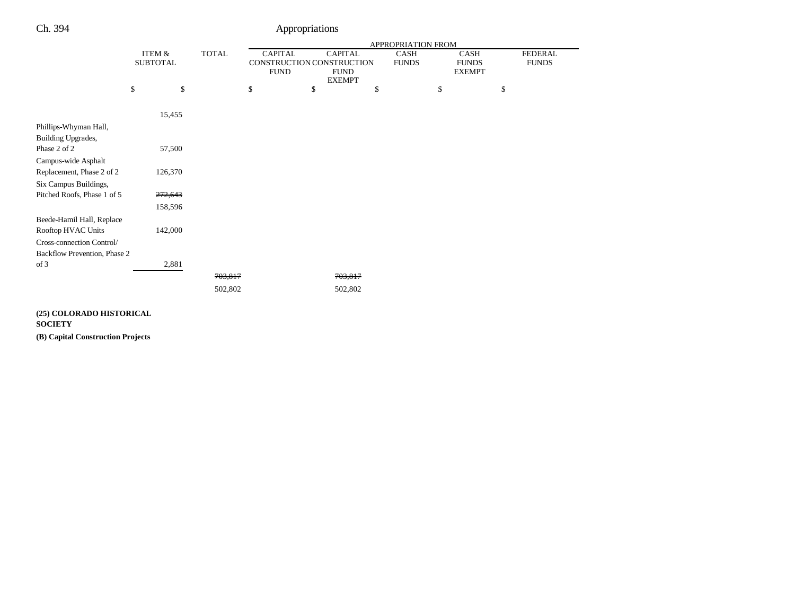|                                                           |                                           |         | APPROPRIATION FROM            |    |                                                                                                     |  |                             |               |  |
|-----------------------------------------------------------|-------------------------------------------|---------|-------------------------------|----|-----------------------------------------------------------------------------------------------------|--|-----------------------------|---------------|--|
|                                                           | <b>TOTAL</b><br>ITEM &<br><b>SUBTOTAL</b> |         | <b>CAPITAL</b><br><b>FUND</b> |    | <b>CAPITAL</b><br>CASH<br>CONSTRUCTION CONSTRUCTION<br><b>FUNDS</b><br><b>FUND</b><br><b>EXEMPT</b> |  | <b>CASH</b><br><b>FUNDS</b> | <b>EXEMPT</b> |  |
|                                                           | \$<br>\$                                  |         | \$                            | \$ | \$                                                                                                  |  | \$                          | \$            |  |
|                                                           | 15,455                                    |         |                               |    |                                                                                                     |  |                             |               |  |
| Phillips-Whyman Hall,<br>Building Upgrades,               |                                           |         |                               |    |                                                                                                     |  |                             |               |  |
| Phase 2 of 2                                              | 57,500                                    |         |                               |    |                                                                                                     |  |                             |               |  |
| Campus-wide Asphalt<br>Replacement, Phase 2 of 2          | 126,370                                   |         |                               |    |                                                                                                     |  |                             |               |  |
| Six Campus Buildings,<br>Pitched Roofs, Phase 1 of 5      | 272,643                                   |         |                               |    |                                                                                                     |  |                             |               |  |
|                                                           | 158,596                                   |         |                               |    |                                                                                                     |  |                             |               |  |
| Beede-Hamil Hall, Replace<br>Rooftop HVAC Units           | 142,000                                   |         |                               |    |                                                                                                     |  |                             |               |  |
| Cross-connection Control/<br>Backflow Prevention, Phase 2 |                                           |         |                               |    |                                                                                                     |  |                             |               |  |
| of 3                                                      | 2,881                                     |         |                               |    |                                                                                                     |  |                             |               |  |
|                                                           |                                           | 703,817 |                               |    | 703,817                                                                                             |  |                             |               |  |
|                                                           |                                           | 502,802 |                               |    | 502,802                                                                                             |  |                             |               |  |
|                                                           |                                           |         |                               |    |                                                                                                     |  |                             |               |  |

## **(25) COLORADO HISTORICAL**

**SOCIETY**

**(B) Capital Construction Projects**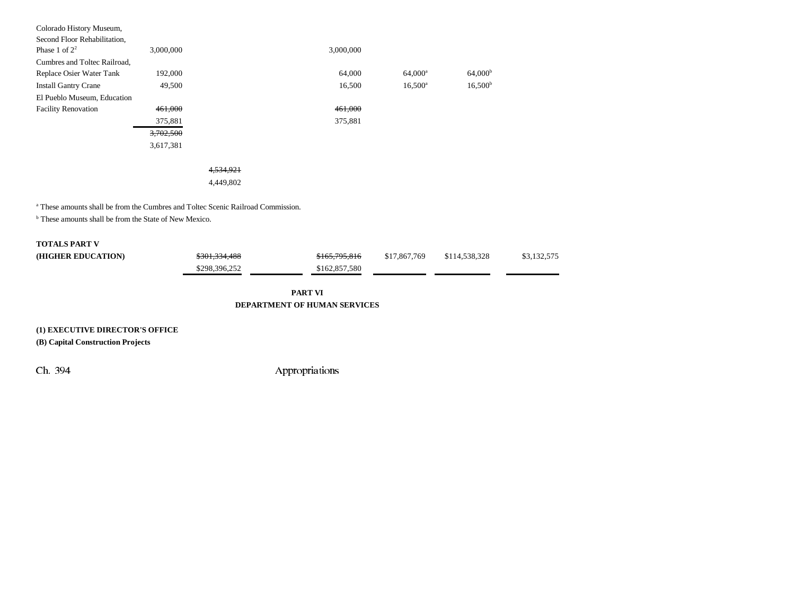| Colorado History Museum,     |           |           |           |                  |                     |
|------------------------------|-----------|-----------|-----------|------------------|---------------------|
| Second Floor Rehabilitation, |           |           |           |                  |                     |
| Phase 1 of $2^2$             | 3,000,000 |           | 3,000,000 |                  |                     |
| Cumbres and Toltec Railroad, |           |           |           |                  |                     |
| Replace Osier Water Tank     | 192,000   |           | 64,000    | $64,000^{\rm a}$ | 64,000 <sup>b</sup> |
| <b>Install Gantry Crane</b>  | 49,500    |           | 16,500    | $16,500^{\rm a}$ | 16,500 <sup>b</sup> |
| El Pueblo Museum, Education  |           |           |           |                  |                     |
| <b>Facility Renovation</b>   | 461,000   |           | 461,000   |                  |                     |
|                              | 375,881   |           | 375,881   |                  |                     |
|                              | 3,702,500 |           |           |                  |                     |
|                              | 3,617,381 |           |           |                  |                     |
|                              |           |           |           |                  |                     |
|                              |           | 4,534,921 |           |                  |                     |
|                              |           | 4,449,802 |           |                  |                     |

a These amounts shall be from the Cumbres and Toltec Scenic Railroad Commission.

b These amounts shall be from the State of New Mexico.

| <b>TOTALS PART V</b> |                          |               |              |               |             |
|----------------------|--------------------------|---------------|--------------|---------------|-------------|
| (HIGHER EDUCATION)   | <del>\$301,334,488</del> | \$165,795,816 | \$17,867,769 | \$114,538,328 | \$3,132,575 |
|                      | \$298,396,252            | \$162,857,580 |              |               |             |

**PART VI DEPARTMENT OF HUMAN SERVICES**

## **(1) EXECUTIVE DIRECTOR'S OFFICE**

**(B) Capital Construction Projects**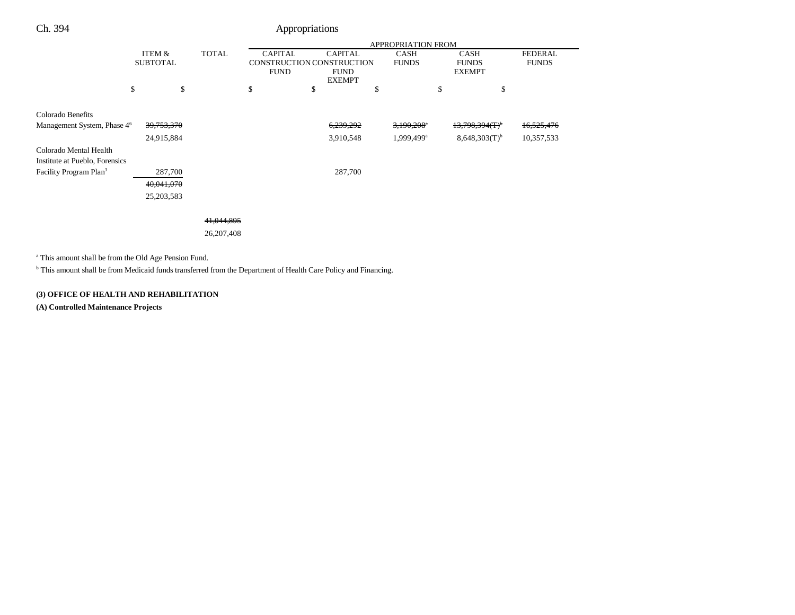| Ch. 394                                 |                    |                                           |              |                               | Appropriations |                                                                             |    |                             |    |                                              |                                |
|-----------------------------------------|--------------------|-------------------------------------------|--------------|-------------------------------|----------------|-----------------------------------------------------------------------------|----|-----------------------------|----|----------------------------------------------|--------------------------------|
|                                         | APPROPRIATION FROM |                                           |              |                               |                |                                                                             |    |                             |    |                                              |                                |
|                                         |                    | <b>TOTAL</b><br>ITEM &<br><b>SUBTOTAL</b> |              | <b>CAPITAL</b><br><b>FUND</b> |                | <b>CAPITAL</b><br>CONSTRUCTION CONSTRUCTION<br><b>FUND</b><br><b>EXEMPT</b> |    | <b>CASH</b><br><b>FUNDS</b> |    | <b>CASH</b><br><b>FUNDS</b><br><b>EXEMPT</b> | <b>FEDERAL</b><br><b>FUNDS</b> |
|                                         | \$                 | \$                                        |              | \$                            | \$             |                                                                             | \$ |                             | \$ | \$                                           |                                |
| Colorado Benefits                       |                    |                                           |              |                               |                |                                                                             |    |                             |    |                                              |                                |
| Management System, Phase 4 <sup>6</sup> | 39,753,370         |                                           |              |                               |                | 6,239,292                                                                   |    | $3,190,208$ <sup>a</sup>    |    | $13,798,394(T)^6$                            | 16,525,476                     |
|                                         | 24,915,884         |                                           |              |                               |                | 3,910,548                                                                   |    | 1,999,499 <sup>a</sup>      |    | $8,648,303(T)$ <sup>b</sup>                  | 10,357,533                     |
| Colorado Mental Health                  |                    |                                           |              |                               |                |                                                                             |    |                             |    |                                              |                                |
| Institute at Pueblo, Forensics          |                    |                                           |              |                               |                |                                                                             |    |                             |    |                                              |                                |
| Facility Program Plan <sup>3</sup>      | 287,700            |                                           |              |                               |                | 287,700                                                                     |    |                             |    |                                              |                                |
|                                         | 40,041,070         |                                           |              |                               |                |                                                                             |    |                             |    |                                              |                                |
|                                         | 25, 203, 583       |                                           |              |                               |                |                                                                             |    |                             |    |                                              |                                |
|                                         |                    |                                           | 41,044,895   |                               |                |                                                                             |    |                             |    |                                              |                                |
|                                         |                    |                                           |              |                               |                |                                                                             |    |                             |    |                                              |                                |
|                                         |                    |                                           | 26, 207, 408 |                               |                |                                                                             |    |                             |    |                                              |                                |
|                                         |                    |                                           |              |                               |                |                                                                             |    |                             |    |                                              |                                |

a This amount shall be from the Old Age Pension Fund.

b This amount shall be from Medicaid funds transferred from the Department of Health Care Policy and Financing.

### **(3) OFFICE OF HEALTH AND REHABILITATION**

**(A) Controlled Maintenance Projects**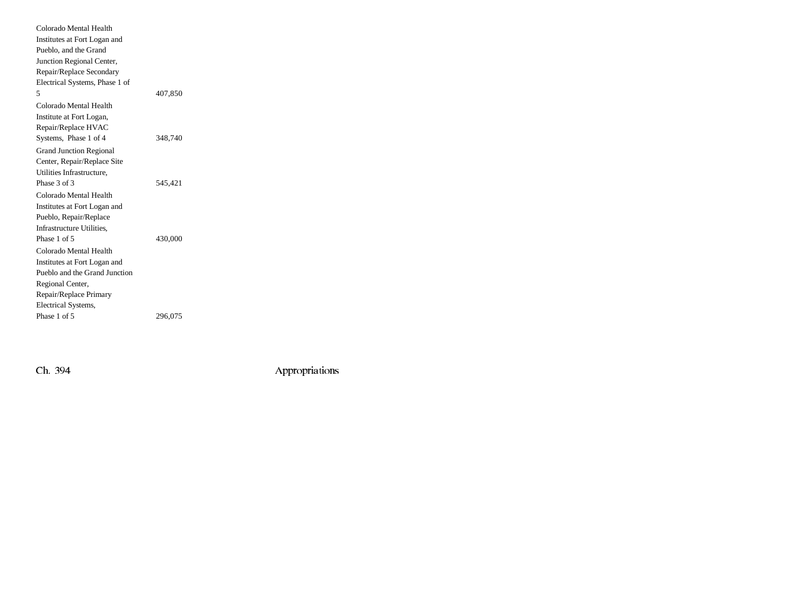| Colorado Mental Health         |         |
|--------------------------------|---------|
| Institutes at Fort Logan and   |         |
| Pueblo, and the Grand          |         |
| Junction Regional Center,      |         |
| Repair/Replace Secondary       |         |
| Electrical Systems, Phase 1 of |         |
| 5                              | 407,850 |
| Colorado Mental Health         |         |
| Institute at Fort Logan,       |         |
| Repair/Replace HVAC            |         |
| Systems, Phase 1 of 4          | 348,740 |
| <b>Grand Junction Regional</b> |         |
| Center, Repair/Replace Site    |         |
| Utilities Infrastructure,      |         |
| Phase 3 of 3                   | 545,421 |
| Colorado Mental Health         |         |
| Institutes at Fort Logan and   |         |
| Pueblo, Repair/Replace         |         |
| Infrastructure Utilities,      |         |
| Phase 1 of 5                   | 430,000 |
| Colorado Mental Health         |         |
| Institutes at Fort Logan and   |         |
| Pueblo and the Grand Junction  |         |
| Regional Center,               |         |
| Repair/Replace Primary         |         |
| Electrical Systems,            |         |
| Phase 1 of 5                   | 296,075 |
|                                |         |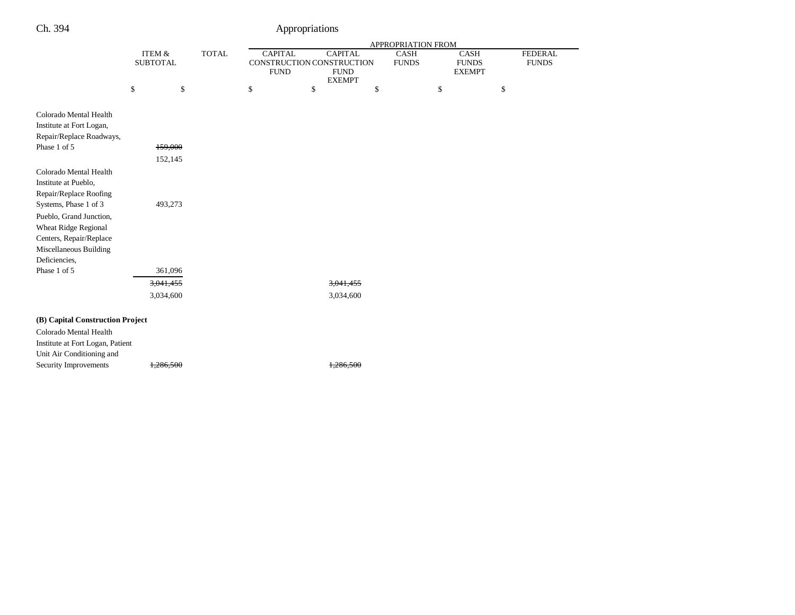|                                                                                                                       |                                      |              | APPROPRIATION FROM            |    |                                                                             |                      |                                              |                                |  |
|-----------------------------------------------------------------------------------------------------------------------|--------------------------------------|--------------|-------------------------------|----|-----------------------------------------------------------------------------|----------------------|----------------------------------------------|--------------------------------|--|
|                                                                                                                       | <b>ITEM &amp;</b><br><b>SUBTOTAL</b> | <b>TOTAL</b> | <b>CAPITAL</b><br><b>FUND</b> |    | <b>CAPITAL</b><br>CONSTRUCTION CONSTRUCTION<br><b>FUND</b><br><b>EXEMPT</b> | CASH<br><b>FUNDS</b> | <b>CASH</b><br><b>FUNDS</b><br><b>EXEMPT</b> | <b>FEDERAL</b><br><b>FUNDS</b> |  |
|                                                                                                                       | \$<br>\$                             |              | \$                            | \$ | \$                                                                          |                      | \$                                           | \$                             |  |
| Colorado Mental Health<br>Institute at Fort Logan,<br>Repair/Replace Roadways,                                        |                                      |              |                               |    |                                                                             |                      |                                              |                                |  |
| Phase 1 of 5                                                                                                          | 159,000                              |              |                               |    |                                                                             |                      |                                              |                                |  |
|                                                                                                                       | 152,145                              |              |                               |    |                                                                             |                      |                                              |                                |  |
| Colorado Mental Health<br>Institute at Pueblo,<br>Repair/Replace Roofing                                              |                                      |              |                               |    |                                                                             |                      |                                              |                                |  |
| Systems, Phase 1 of 3                                                                                                 | 493,273                              |              |                               |    |                                                                             |                      |                                              |                                |  |
| Pueblo, Grand Junction,<br>Wheat Ridge Regional<br>Centers, Repair/Replace<br>Miscellaneous Building<br>Deficiencies, |                                      |              |                               |    |                                                                             |                      |                                              |                                |  |
| Phase 1 of 5                                                                                                          | 361,096                              |              |                               |    |                                                                             |                      |                                              |                                |  |
|                                                                                                                       | 3,041,455                            |              |                               |    | 3,041,455                                                                   |                      |                                              |                                |  |
|                                                                                                                       | 3,034,600                            |              |                               |    | 3,034,600                                                                   |                      |                                              |                                |  |
| (B) Capital Construction Project                                                                                      |                                      |              |                               |    |                                                                             |                      |                                              |                                |  |
| Colorado Mental Health                                                                                                |                                      |              |                               |    |                                                                             |                      |                                              |                                |  |
| Institute at Fort Logan, Patient                                                                                      |                                      |              |                               |    |                                                                             |                      |                                              |                                |  |
| Unit Air Conditioning and                                                                                             |                                      |              |                               |    |                                                                             |                      |                                              |                                |  |
| Security Improvements                                                                                                 | 1.286.500                            |              |                               |    | 1.286.500                                                                   |                      |                                              |                                |  |
|                                                                                                                       |                                      |              |                               |    |                                                                             |                      |                                              |                                |  |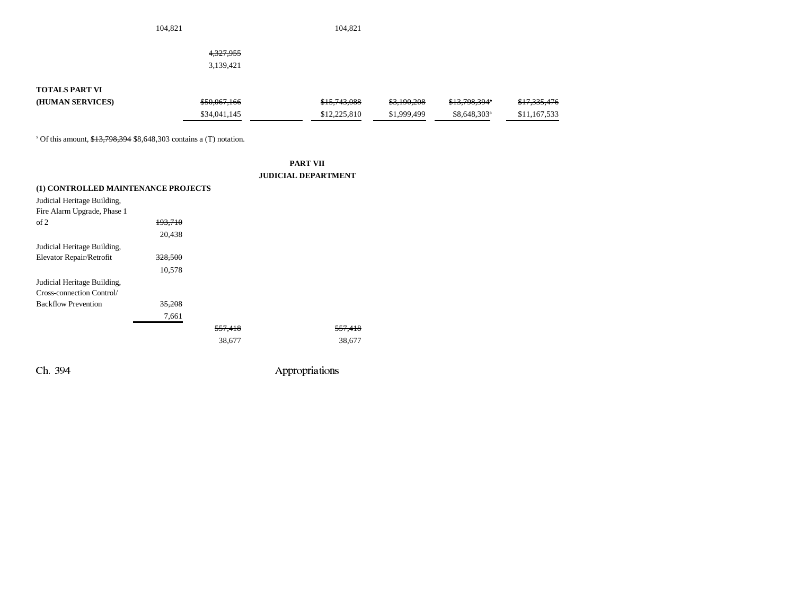|                       | 104,821      | 104,821      |             |                          |              |
|-----------------------|--------------|--------------|-------------|--------------------------|--------------|
|                       | 4,327,955    |              |             |                          |              |
|                       | 3,139,421    |              |             |                          |              |
| <b>TOTALS PART VI</b> |              |              |             |                          |              |
| (HUMAN SERVICES)      | \$50,067,166 | \$15,743,088 | \$3,190,208 | \$13,798,394*            | \$17,335,476 |
|                       | \$34,041,145 | \$12,225,810 | \$1,999,499 | \$8,648,303 <sup>a</sup> | \$11,167,533 |
|                       |              |              |             |                          |              |

s Of this amount, \$13,798,394 \$8,648,303 contains a (T) notation.

|                                     |         |         | <b>PART VII</b>            |         |
|-------------------------------------|---------|---------|----------------------------|---------|
|                                     |         |         | <b>JUDICIAL DEPARTMENT</b> |         |
| (1) CONTROLLED MAINTENANCE PROJECTS |         |         |                            |         |
| Judicial Heritage Building,         |         |         |                            |         |
| Fire Alarm Upgrade, Phase 1         |         |         |                            |         |
| of 2                                | 193,710 |         |                            |         |
|                                     | 20,438  |         |                            |         |
| Judicial Heritage Building,         |         |         |                            |         |
| Elevator Repair/Retrofit            | 328,500 |         |                            |         |
|                                     | 10,578  |         |                            |         |
| Judicial Heritage Building,         |         |         |                            |         |
| Cross-connection Control/           |         |         |                            |         |
| <b>Backflow Prevention</b>          | 35,208  |         |                            |         |
|                                     | 7,661   |         |                            |         |
|                                     |         | 557.418 |                            | 557.418 |
|                                     |         | 38,677  |                            | 38,677  |
|                                     |         |         |                            |         |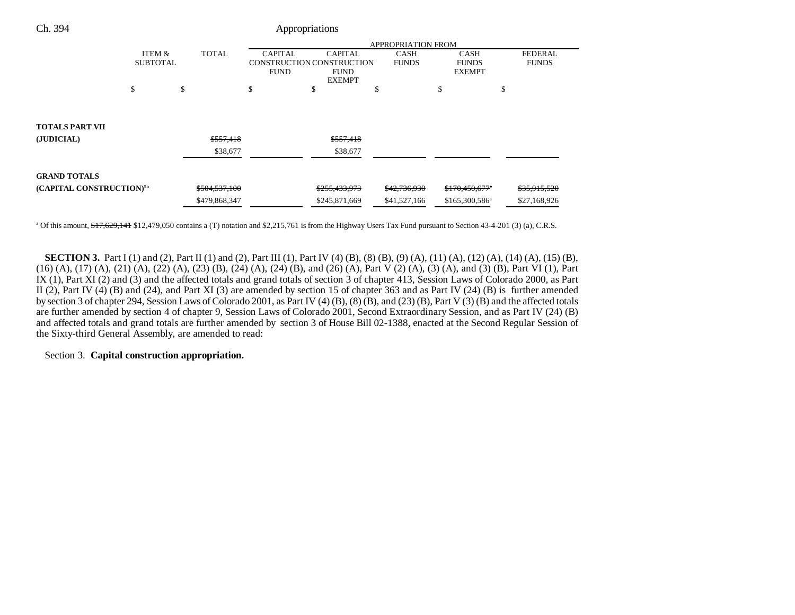| Ch. 394                              |                           |                                | Appropriations                                                                             |                      |                                              |                                |  |  |
|--------------------------------------|---------------------------|--------------------------------|--------------------------------------------------------------------------------------------|----------------------|----------------------------------------------|--------------------------------|--|--|
|                                      |                           |                                | <b>APPROPRIATION FROM</b>                                                                  |                      |                                              |                                |  |  |
|                                      | ITEM &<br><b>SUBTOTAL</b> | <b>CAPITAL</b><br><b>TOTAL</b> | <b>CAPITAL</b><br>CONSTRUCTION CONSTRUCTION<br><b>FUND</b><br><b>FUND</b><br><b>EXEMPT</b> | CASH<br><b>FUNDS</b> | <b>CASH</b><br><b>FUNDS</b><br><b>EXEMPT</b> | <b>FEDERAL</b><br><b>FUNDS</b> |  |  |
|                                      | \$                        | \$<br>S                        | \$                                                                                         | P                    | \$                                           | \$                             |  |  |
| <b>TOTALS PART VII</b>               |                           |                                |                                                                                            |                      |                                              |                                |  |  |
| (JUDICIAL)                           |                           | \$557,418                      | \$557,418                                                                                  |                      |                                              |                                |  |  |
|                                      |                           | \$38,677                       | \$38,677                                                                                   |                      |                                              |                                |  |  |
| <b>GRAND TOTALS</b>                  |                           |                                |                                                                                            |                      |                                              |                                |  |  |
| (CAPITAL CONSTRUCTION) <sup>5a</sup> |                           | \$504,537,100                  | \$255,433,973                                                                              | \$42,736,930         | \$170,450,677                                | <del>\$35,915,520</del>        |  |  |
|                                      |                           | \$479,868,347                  | \$245,871,669                                                                              | \$41,527,166         | $$165,300,586^a$                             | \$27,168,926                   |  |  |

<sup>a</sup> Of this amount,  $\frac{417,629,141}{1}$  \$12,479,050 contains a (T) notation and \$2,215,761 is from the Highway Users Tax Fund pursuant to Section 43-4-201 (3) (a), C.R.S.

**SECTION 3.** Part I (1) and (2), Part II (1) and (2), Part III (1), Part IV (4) (B), (8) (B), (9) (A), (11) (A), (12) (A), (14) (A), (15) (B), (16) (A), (17) (A), (21) (A), (22) (A), (23) (B), (24) (A), (24) (B), and (26) (A), Part V (2) (A), (3) (A), and (3) (B), Part VI (1), Part IX (1), Part XI (2) and (3) and the affected totals and grand totals of section 3 of chapter 413, Session Laws of Colorado 2000, as Part II (2), Part IV (4) (B) and (24), and Part XI (3) are amended by section 15 of chapter 363 and as Part IV (24) (B) is further amended by section 3 of chapter 294, Session Laws of Colorado 2001, as Part IV (4) (B), (8) (B), and (23) (B), Part V (3) (B) and the affected totals are further amended by section 4 of chapter 9, Session Laws of Colorado 2001, Second Extraordinary Session, and as Part IV (24) (B) and affected totals and grand totals are further amended by section 3 of House Bill 02-1388, enacted at the Second Regular Session of the Sixty-third General Assembly, are amended to read:

Section 3. **Capital construction appropriation.**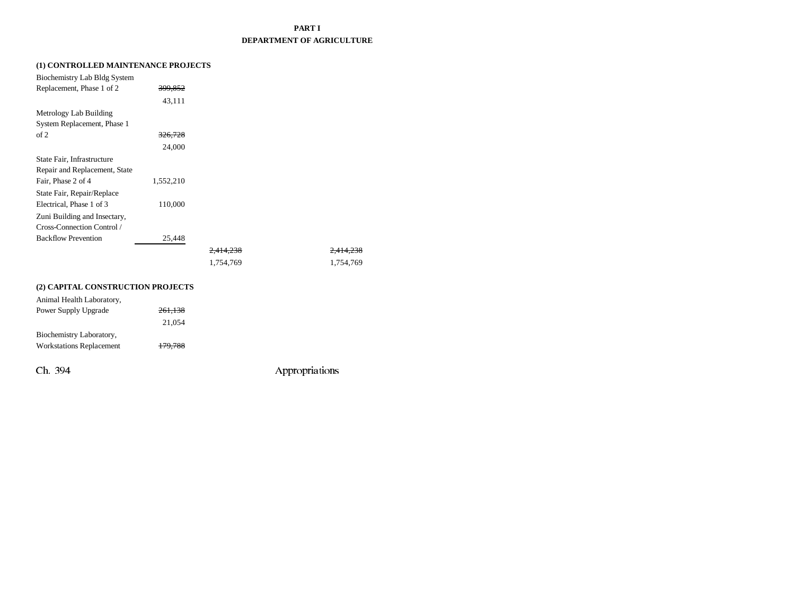### **PART I DEPARTMENT OF AGRICULTURE**

### **(1) CONTROLLED MAINTENANCE PROJECTS**

| Biochemistry Lab Bldg System  |           |                      |           |
|-------------------------------|-----------|----------------------|-----------|
| Replacement, Phase 1 of 2     | 399,852   |                      |           |
|                               | 43,111    |                      |           |
| Metrology Lab Building        |           |                      |           |
| System Replacement, Phase 1   |           |                      |           |
| of 2                          | 326.728   |                      |           |
|                               | 24,000    |                      |           |
| State Fair, Infrastructure    |           |                      |           |
| Repair and Replacement, State |           |                      |           |
| Fair, Phase 2 of 4            | 1,552,210 |                      |           |
| State Fair, Repair/Replace    |           |                      |           |
| Electrical, Phase 1 of 3      | 110,000   |                      |           |
| Zuni Building and Insectary,  |           |                      |           |
| Cross-Connection Control /    |           |                      |           |
| <b>Backflow Prevention</b>    | 25,448    |                      |           |
|                               |           | <del>2.414.238</del> |           |
|                               |           | 1,754,769            | 1,754,769 |
|                               |           |                      |           |

### **(2) CAPITAL CONSTRUCTION PROJECTS**

| Animal Health Laboratory,       |         |                |
|---------------------------------|---------|----------------|
| Power Supply Upgrade            | 261,138 |                |
|                                 | 21,054  |                |
| Biochemistry Laboratory,        |         |                |
| <b>Workstations Replacement</b> | 179,788 |                |
|                                 |         |                |
| Ch. 394                         |         | Appropriations |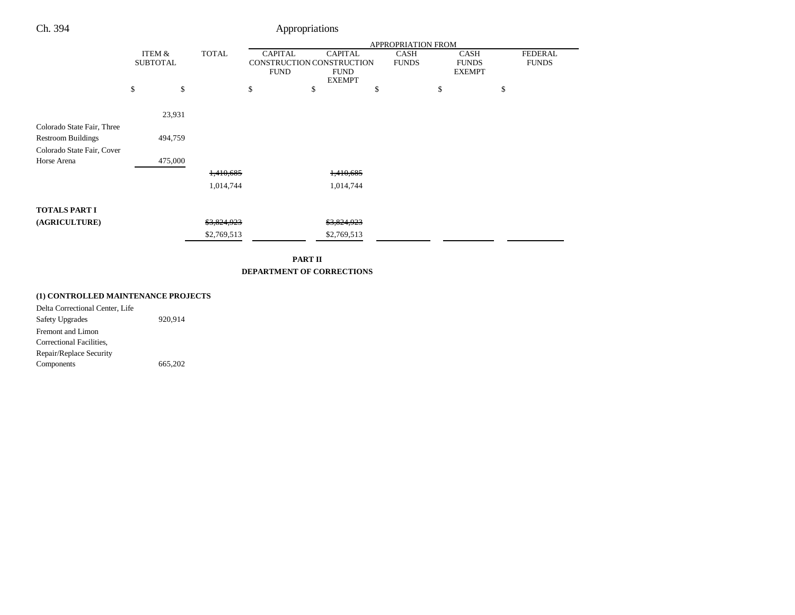|                            |                 |              |                |                                                           | <b>APPROPRIATION FROM</b> |                               |                |
|----------------------------|-----------------|--------------|----------------|-----------------------------------------------------------|---------------------------|-------------------------------|----------------|
|                            | ITEM &          | <b>TOTAL</b> | <b>CAPITAL</b> | <b>CAPITAL</b>                                            | <b>CASH</b>               | <b>CASH</b>                   | <b>FEDERAL</b> |
|                            | <b>SUBTOTAL</b> |              | <b>FUND</b>    | CONSTRUCTION CONSTRUCTION<br><b>FUND</b><br><b>EXEMPT</b> | <b>FUNDS</b>              | <b>FUNDS</b><br><b>EXEMPT</b> | <b>FUNDS</b>   |
|                            | \$              | \$           | \$             | \$                                                        | \$                        | \$                            | \$             |
|                            |                 |              |                |                                                           |                           |                               |                |
|                            | 23,931          |              |                |                                                           |                           |                               |                |
| Colorado State Fair, Three |                 |              |                |                                                           |                           |                               |                |
| <b>Restroom Buildings</b>  | 494,759         |              |                |                                                           |                           |                               |                |
| Colorado State Fair, Cover |                 |              |                |                                                           |                           |                               |                |
| Horse Arena                | 475,000         |              |                |                                                           |                           |                               |                |
|                            |                 | 1,410,685    |                | 1,410,685                                                 |                           |                               |                |
|                            |                 | 1,014,744    |                | 1,014,744                                                 |                           |                               |                |
| <b>TOTALS PART I</b>       |                 |              |                |                                                           |                           |                               |                |
| (AGRICULTURE)              |                 | \$3,824,923  |                | \$3,824,923                                               |                           |                               |                |
|                            |                 | \$2,769,513  |                | \$2,769,513                                               |                           |                               |                |

**PART II DEPARTMENT OF CORRECTIONS**

### **(1) CONTROLLED MAINTENANCE PROJECTS**

| Delta Correctional Center, Life |         |
|---------------------------------|---------|
| Safety Upgrades                 | 920,914 |
| Fremont and Limon               |         |
| Correctional Facilities,        |         |
| Repair/Replace Security         |         |
| Components                      | 665,202 |
|                                 |         |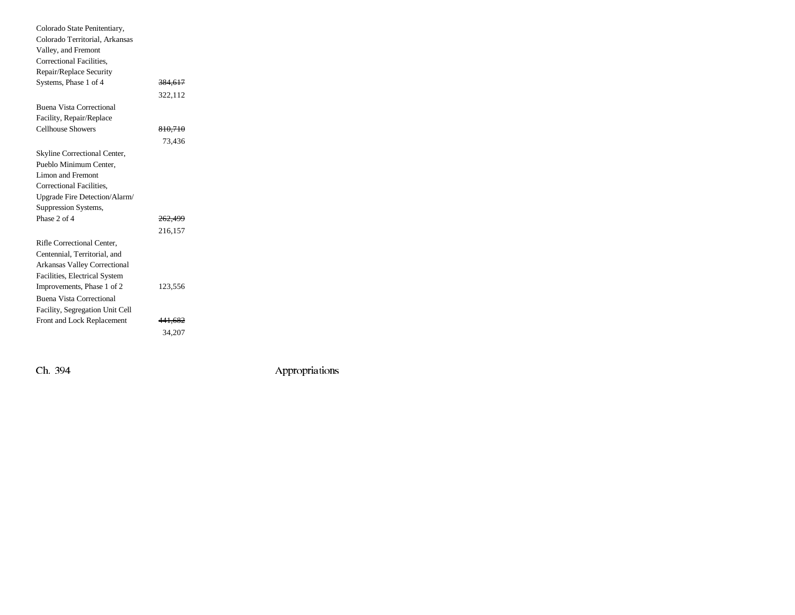| <del>384,617</del> |
|--------------------|
| 322,112            |
|                    |
|                    |
| 810,710            |
| 73,436             |
|                    |
|                    |
|                    |
|                    |
|                    |
|                    |
| <del>262,499</del> |
| 216,157            |
|                    |
|                    |
|                    |
|                    |
| 123,556            |
|                    |
|                    |
| <del>441,682</del> |
| 34,207             |
|                    |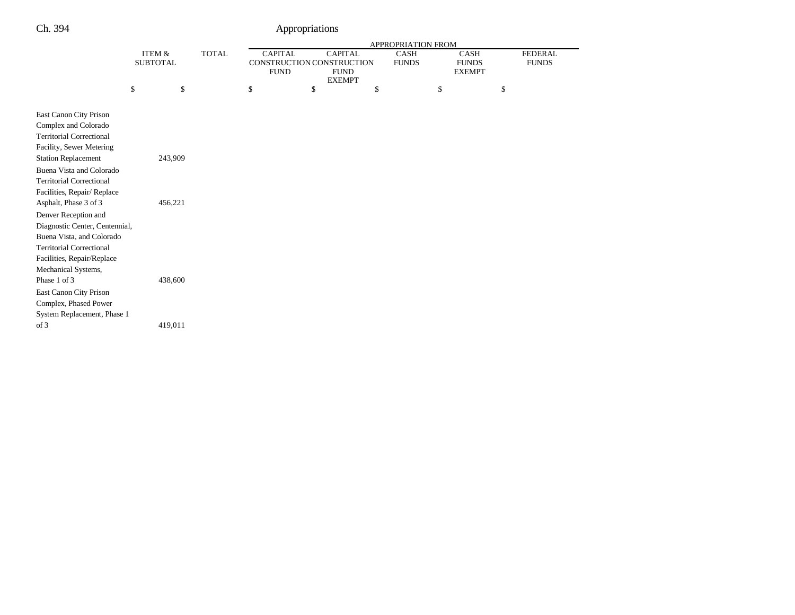|                                                                                                                                                                                                                                                                                       |                                      |              |                               |                                                                             | APPROPRIATION FROM          |                                              |                                |
|---------------------------------------------------------------------------------------------------------------------------------------------------------------------------------------------------------------------------------------------------------------------------------------|--------------------------------------|--------------|-------------------------------|-----------------------------------------------------------------------------|-----------------------------|----------------------------------------------|--------------------------------|
|                                                                                                                                                                                                                                                                                       | <b>ITEM &amp;</b><br><b>SUBTOTAL</b> | <b>TOTAL</b> | <b>CAPITAL</b><br><b>FUND</b> | <b>CAPITAL</b><br>CONSTRUCTION CONSTRUCTION<br><b>FUND</b><br><b>EXEMPT</b> | <b>CASH</b><br><b>FUNDS</b> | <b>CASH</b><br><b>FUNDS</b><br><b>EXEMPT</b> | <b>FEDERAL</b><br><b>FUNDS</b> |
|                                                                                                                                                                                                                                                                                       | \$<br>\$                             |              | \$                            | \$                                                                          | \$                          | \$                                           | \$                             |
| East Canon City Prison<br>Complex and Colorado<br><b>Territorial Correctional</b><br>Facility, Sewer Metering<br><b>Station Replacement</b><br>Buena Vista and Colorado<br><b>Territorial Correctional</b><br>Facilities, Repair/Replace<br>Asphalt, Phase 3 of 3                     | 243,909<br>456,221                   |              |                               |                                                                             |                             |                                              |                                |
| Denver Reception and<br>Diagnostic Center, Centennial,<br>Buena Vista, and Colorado<br><b>Territorial Correctional</b><br>Facilities, Repair/Replace<br>Mechanical Systems,<br>Phase 1 of 3<br>East Canon City Prison<br>Complex, Phased Power<br>System Replacement, Phase 1<br>of 3 | 438,600<br>419,011                   |              |                               |                                                                             |                             |                                              |                                |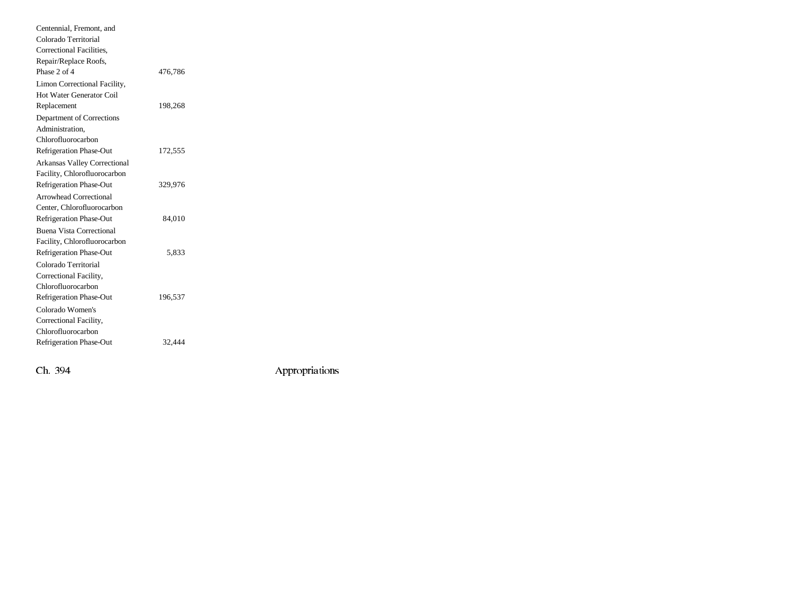| Centennial, Fremont, and            |         |  |
|-------------------------------------|---------|--|
| Colorado Territorial                |         |  |
| Correctional Facilities,            |         |  |
| Repair/Replace Roofs,               |         |  |
| Phase 2 of 4                        | 476,786 |  |
| Limon Correctional Facility,        |         |  |
| Hot Water Generator Coil            |         |  |
| Replacement                         | 198,268 |  |
| Department of Corrections           |         |  |
| Administration.                     |         |  |
| Chlorofluorocarbon                  |         |  |
| <b>Refrigeration Phase-Out</b>      | 172,555 |  |
| <b>Arkansas Valley Correctional</b> |         |  |
| Facility, Chlorofluorocarbon        |         |  |
| Refrigeration Phase-Out             | 329,976 |  |
| Arrowhead Correctional              |         |  |
| Center, Chlorofluorocarbon          |         |  |
| <b>Refrigeration Phase-Out</b>      | 84,010  |  |
| Buena Vista Correctional            |         |  |
| Facility, Chlorofluorocarbon        |         |  |
| <b>Refrigeration Phase-Out</b>      | 5,833   |  |
| Colorado Territorial                |         |  |
| Correctional Facility,              |         |  |
| Chlorofluorocarbon                  |         |  |
| Refrigeration Phase-Out             | 196,537 |  |
| Colorado Women's                    |         |  |
| Correctional Facility,              |         |  |
| Chlorofluorocarbon                  |         |  |
| Refrigeration Phase-Out             | 32,444  |  |
|                                     |         |  |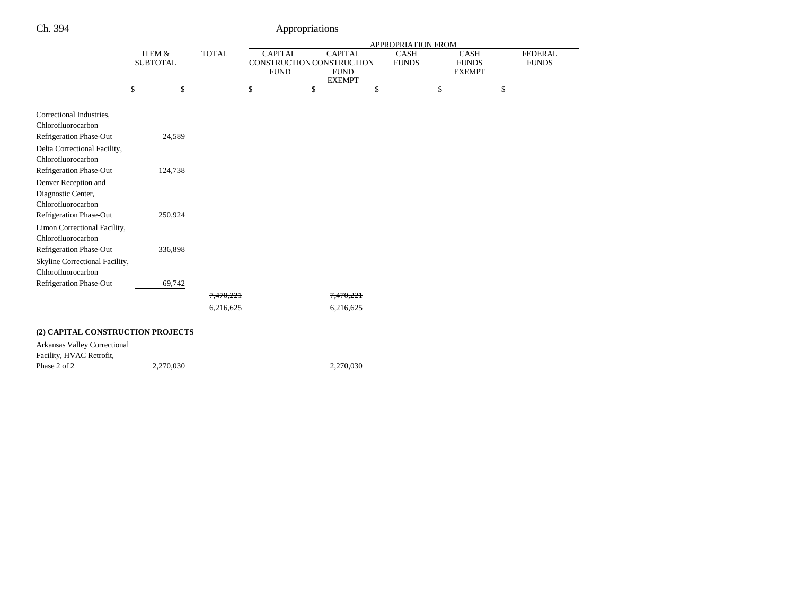|                                                          |                           |              | APPROPRIATION FROM            |                                                                             |    |                             |                                              |    |                                |
|----------------------------------------------------------|---------------------------|--------------|-------------------------------|-----------------------------------------------------------------------------|----|-----------------------------|----------------------------------------------|----|--------------------------------|
|                                                          | ITEM &<br><b>SUBTOTAL</b> | <b>TOTAL</b> | <b>CAPITAL</b><br><b>FUND</b> | <b>CAPITAL</b><br>CONSTRUCTION CONSTRUCTION<br><b>FUND</b><br><b>EXEMPT</b> |    | <b>CASH</b><br><b>FUNDS</b> | <b>CASH</b><br><b>FUNDS</b><br><b>EXEMPT</b> |    | <b>FEDERAL</b><br><b>FUNDS</b> |
|                                                          | \$<br>\$                  |              | \$                            | \$                                                                          | \$ |                             | \$                                           | \$ |                                |
| Correctional Industries,                                 |                           |              |                               |                                                                             |    |                             |                                              |    |                                |
| Chlorofluorocarbon                                       |                           |              |                               |                                                                             |    |                             |                                              |    |                                |
| Refrigeration Phase-Out                                  | 24,589                    |              |                               |                                                                             |    |                             |                                              |    |                                |
| Delta Correctional Facility,                             |                           |              |                               |                                                                             |    |                             |                                              |    |                                |
| Chlorofluorocarbon                                       |                           |              |                               |                                                                             |    |                             |                                              |    |                                |
| Refrigeration Phase-Out                                  | 124,738                   |              |                               |                                                                             |    |                             |                                              |    |                                |
| Denver Reception and                                     |                           |              |                               |                                                                             |    |                             |                                              |    |                                |
| Diagnostic Center,                                       |                           |              |                               |                                                                             |    |                             |                                              |    |                                |
| Chlorofluorocarbon                                       |                           |              |                               |                                                                             |    |                             |                                              |    |                                |
| Refrigeration Phase-Out                                  | 250,924                   |              |                               |                                                                             |    |                             |                                              |    |                                |
| Limon Correctional Facility,                             |                           |              |                               |                                                                             |    |                             |                                              |    |                                |
| Chlorofluorocarbon                                       |                           |              |                               |                                                                             |    |                             |                                              |    |                                |
| Refrigeration Phase-Out                                  | 336,898                   |              |                               |                                                                             |    |                             |                                              |    |                                |
| Skyline Correctional Facility,                           |                           |              |                               |                                                                             |    |                             |                                              |    |                                |
| Chlorofluorocarbon                                       |                           |              |                               |                                                                             |    |                             |                                              |    |                                |
| Refrigeration Phase-Out                                  | 69,742                    |              |                               |                                                                             |    |                             |                                              |    |                                |
|                                                          |                           | 7,470,221    |                               | 7,470,221                                                                   |    |                             |                                              |    |                                |
|                                                          |                           | 6,216,625    |                               | 6,216,625                                                                   |    |                             |                                              |    |                                |
| (2) CAPITAL CONSTRUCTION PROJECTS                        |                           |              |                               |                                                                             |    |                             |                                              |    |                                |
|                                                          |                           |              |                               |                                                                             |    |                             |                                              |    |                                |
| Arkansas Valley Correctional<br>Facility, HVAC Retrofit, |                           |              |                               |                                                                             |    |                             |                                              |    |                                |
|                                                          |                           |              |                               |                                                                             |    |                             |                                              |    |                                |

Phase 2 of 2 2,270,030 2,270,030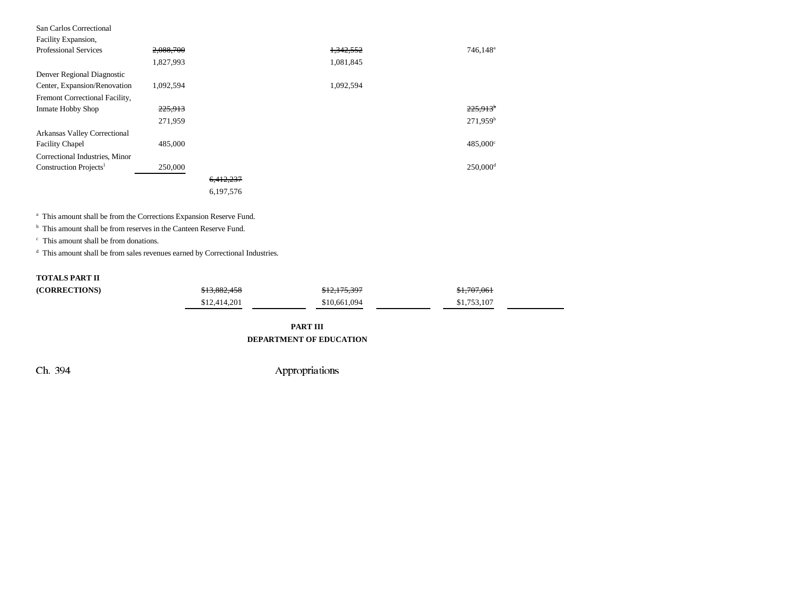| San Carlos Correctional            |           |           |           |                        |
|------------------------------------|-----------|-----------|-----------|------------------------|
| Facility Expansion,                |           |           |           |                        |
| <b>Professional Services</b>       | 2,088,700 |           | 1,342,552 | 746,148 <sup>a</sup>   |
|                                    | 1,827,993 |           | 1,081,845 |                        |
| Denver Regional Diagnostic         |           |           |           |                        |
| Center, Expansion/Renovation       | 1,092,594 |           | 1,092,594 |                        |
| Fremont Correctional Facility,     |           |           |           |                        |
| <b>Inmate Hobby Shop</b>           | 225,913   |           |           | 225,913 <sup>b</sup>   |
|                                    | 271,959   |           |           | 271.959 <sup>b</sup>   |
| Arkansas Valley Correctional       |           |           |           |                        |
| <b>Facility Chapel</b>             | 485,000   |           |           | 485,000°               |
| Correctional Industries, Minor     |           |           |           |                        |
| Construction Projects <sup>1</sup> | 250,000   |           |           | $250,000$ <sup>d</sup> |
|                                    |           | 6,412,237 |           |                        |
|                                    |           | 6,197,576 |           |                        |

a This amount shall be from the Corrections Expansion Reserve Fund.

<sup>b</sup> This amount shall be from reserves in the Canteen Reserve Fund.

c This amount shall be from donations.

d This amount shall be from sales revenues earned by Correctional Industries.

### **TOTALS PART II**

| (CORRECTIONS) | 012002150<br>013,002,700 | 012.175.207<br>J12.113.371 | \$1,707,061 |
|---------------|--------------------------|----------------------------|-------------|
|               | \$12,414,201             | \$10,661,094               | \$1,753,107 |

**PART III DEPARTMENT OF EDUCATION**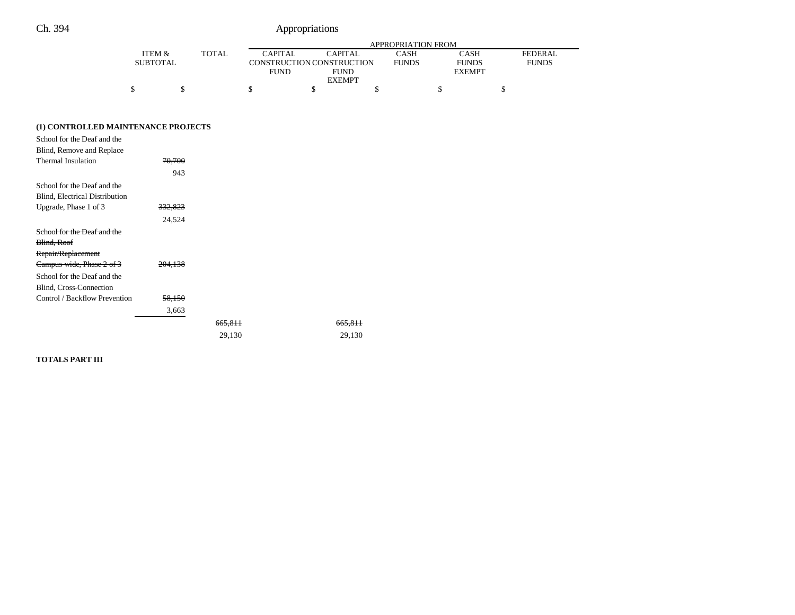|                 |              |             |                           | APPROPRIATION FROM |               |                |
|-----------------|--------------|-------------|---------------------------|--------------------|---------------|----------------|
| ITEM &          | <b>TOTAL</b> | CAPITAL     | CAPITAL                   | CASH               | CASH          | <b>FEDERAL</b> |
| <b>SUBTOTAL</b> |              |             | CONSTRUCTION CONSTRUCTION | <b>FUNDS</b>       | FUNDS         | FUNDS          |
|                 |              | <b>FUND</b> | FUND                      |                    | <b>EXEMPT</b> |                |
|                 |              |             | <b>EXEMPT</b>             |                    |               |                |
|                 |              |             |                           |                    |               |                |

### **(1) CONTROLLED MAINTENANCE PROJECTS**

| School for the Deaf and the    |         |                    |                    |
|--------------------------------|---------|--------------------|--------------------|
| Blind, Remove and Replace      |         |                    |                    |
| Thermal Insulation             | 70,700  |                    |                    |
|                                | 943     |                    |                    |
| School for the Deaf and the    |         |                    |                    |
| Blind, Electrical Distribution |         |                    |                    |
| Upgrade, Phase 1 of 3          | 332,823 |                    |                    |
|                                | 24,524  |                    |                    |
| School for the Deaf and the    |         |                    |                    |
| Blind, Roof                    |         |                    |                    |
| Repair/Replacement             |         |                    |                    |
| Campus-wide, Phase 2 of 3      | 204.138 |                    |                    |
| School for the Deaf and the    |         |                    |                    |
| Blind, Cross-Connection        |         |                    |                    |
| Control / Backflow Prevention  | 58.150  |                    |                    |
|                                | 3,663   |                    |                    |
|                                |         | <del>665,811</del> | <del>665.811</del> |
|                                |         | 29,130             | 29,130             |
|                                |         |                    |                    |

**TOTALS PART III**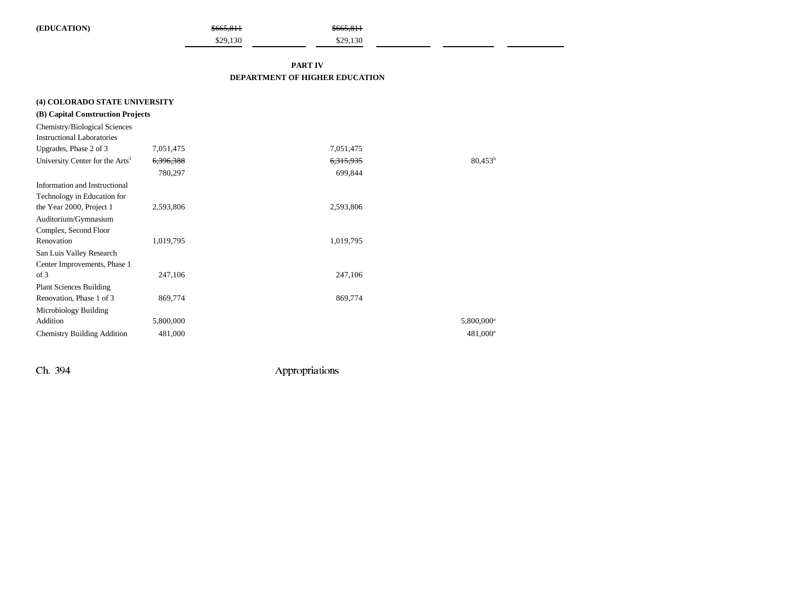| (EDUCATION) |  |
|-------------|--|
|-------------|--|

### **PART IV DEPARTMENT OF HIGHER EDUCATION**

| (4) COLORADO STATE UNIVERSITY               |           |           |                        |
|---------------------------------------------|-----------|-----------|------------------------|
| (B) Capital Construction Projects           |           |           |                        |
| Chemistry/Biological Sciences               |           |           |                        |
| <b>Instructional Laboratories</b>           |           |           |                        |
| Upgrades, Phase 2 of 3                      | 7,051,475 | 7,051,475 |                        |
| University Center for the Arts <sup>3</sup> | 6,396,388 | 6,315,935 | $80,453^b$             |
|                                             | 780,297   | 699,844   |                        |
| Information and Instructional               |           |           |                        |
| Technology in Education for                 |           |           |                        |
| the Year 2000, Project 1                    | 2,593,806 | 2,593,806 |                        |
| Auditorium/Gymnasium                        |           |           |                        |
| Complex, Second Floor                       |           |           |                        |
| Renovation                                  | 1,019,795 | 1,019,795 |                        |
| San Luis Valley Research                    |           |           |                        |
| Center Improvements, Phase 1                |           |           |                        |
| of 3                                        | 247,106   | 247,106   |                        |
| <b>Plant Sciences Building</b>              |           |           |                        |
| Renovation, Phase 1 of 3                    | 869,774   | 869,774   |                        |
| Microbiology Building                       |           |           |                        |
| Addition                                    | 5,800,000 |           | 5,800,000 <sup>a</sup> |
| <b>Chemistry Building Addition</b>          | 481,000   |           | 481,000 <sup>a</sup>   |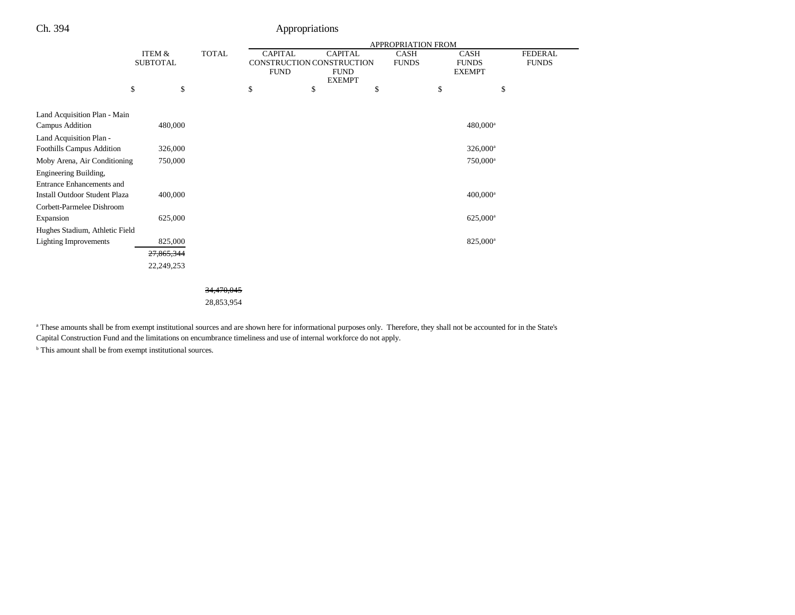|                                      |                 |              | APPROPRIATION FROM |                                          |              |                             |                                |
|--------------------------------------|-----------------|--------------|--------------------|------------------------------------------|--------------|-----------------------------|--------------------------------|
|                                      | ITEM &          | <b>TOTAL</b> | <b>CAPITAL</b>     | <b>CAPITAL</b>                           | <b>CASH</b>  | <b>CASH</b><br><b>FUNDS</b> | <b>FEDERAL</b><br><b>FUNDS</b> |
|                                      | <b>SUBTOTAL</b> |              | <b>FUND</b>        | CONSTRUCTION CONSTRUCTION<br><b>FUND</b> | <b>FUNDS</b> | <b>EXEMPT</b>               |                                |
|                                      |                 |              |                    | <b>EXEMPT</b>                            |              |                             |                                |
|                                      | \$<br>\$        |              | \$                 | \$                                       | \$           | \$                          | \$                             |
|                                      |                 |              |                    |                                          |              |                             |                                |
| Land Acquisition Plan - Main         |                 |              |                    |                                          |              |                             |                                |
| Campus Addition                      | 480,000         |              |                    |                                          |              | $480,000^{\rm a}$           |                                |
| Land Acquisition Plan -              |                 |              |                    |                                          |              |                             |                                |
| Foothills Campus Addition            | 326,000         |              |                    |                                          |              | $326,000^a$                 |                                |
| Moby Arena, Air Conditioning         | 750,000         |              |                    |                                          |              | $750,000$ <sup>a</sup>      |                                |
| Engineering Building,                |                 |              |                    |                                          |              |                             |                                |
| <b>Entrance Enhancements and</b>     |                 |              |                    |                                          |              |                             |                                |
| <b>Install Outdoor Student Plaza</b> | 400,000         |              |                    |                                          |              | $400,000$ <sup>a</sup>      |                                |
| Corbett-Parmelee Dishroom            |                 |              |                    |                                          |              |                             |                                |
| Expansion                            | 625,000         |              |                    |                                          |              | $625,000^{\rm a}$           |                                |
| Hughes Stadium, Athletic Field       |                 |              |                    |                                          |              |                             |                                |
| <b>Lighting Improvements</b>         | 825,000         |              |                    |                                          |              | 825,000 <sup>a</sup>        |                                |
|                                      | 27,865,344      |              |                    |                                          |              |                             |                                |
|                                      | 22,249,253      |              |                    |                                          |              |                             |                                |
|                                      |                 |              |                    |                                          |              |                             |                                |

34,470,045 28,853,954

a These amounts shall be from exempt institutional sources and are shown here for informational purposes only. Therefore, they shall not be accounted for in the State's Capital Construction Fund and the limitations on encumbrance timeliness and use of internal workforce do not apply.

 $^{\rm b}$  This amount shall be from exempt institutional sources.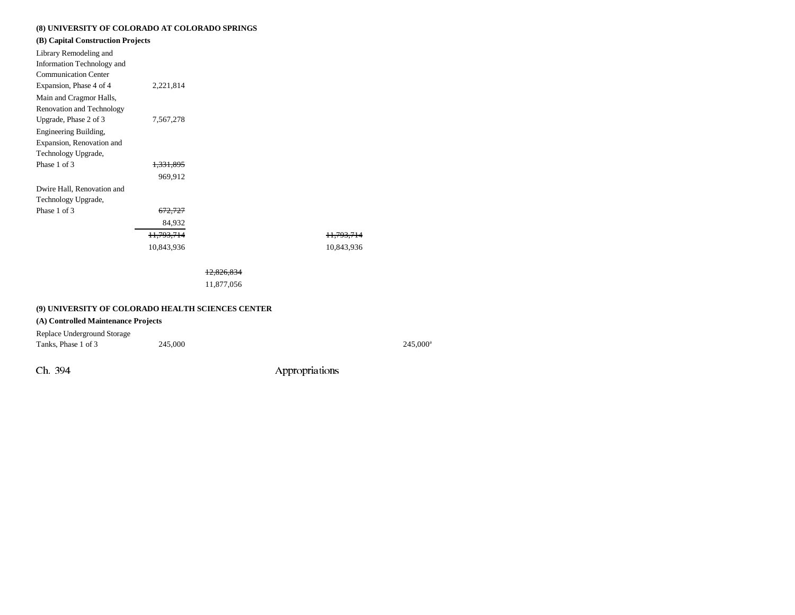### **(8) UNIVERSITY OF COLORADO AT COLORADO SPRINGS**

| (B) Capital Construction Projects |            |                       |                       |
|-----------------------------------|------------|-----------------------|-----------------------|
| Library Remodeling and            |            |                       |                       |
| Information Technology and        |            |                       |                       |
| <b>Communication Center</b>       |            |                       |                       |
| Expansion, Phase 4 of 4           | 2,221,814  |                       |                       |
| Main and Cragmor Halls,           |            |                       |                       |
| Renovation and Technology         |            |                       |                       |
| Upgrade, Phase 2 of 3             | 7,567,278  |                       |                       |
| Engineering Building,             |            |                       |                       |
| Expansion, Renovation and         |            |                       |                       |
| Technology Upgrade,               |            |                       |                       |
| Phase 1 of 3                      | 1.331.895  |                       |                       |
|                                   | 969,912    |                       |                       |
| Dwire Hall, Renovation and        |            |                       |                       |
| Technology Upgrade,               |            |                       |                       |
| Phase 1 of 3                      | 672.727    |                       |                       |
|                                   | 84,932     |                       |                       |
|                                   | 11.793.714 |                       | <del>11.793.714</del> |
|                                   | 10,843,936 |                       | 10,843,936            |
|                                   |            | <del>12,826,834</del> |                       |
|                                   |            |                       |                       |
|                                   |            | 11,877,056            |                       |

### **(9) UNIVERSITY OF COLORADO HEALTH SCIENCES CENTER**

## **(A) Controlled Maintenance Projects**

Replace Underground Storage

Tanks, Phase 1 of 3 245,000 245,000 245,000 245,000 245,000 245,000 245,000 245,000 245,000 245,000 245,000 245,000 245,000 245,000 245,000 245,000 245,000 245,000 245,000 245,000 245,000 245,000 245,000 25,000 25,000 25,0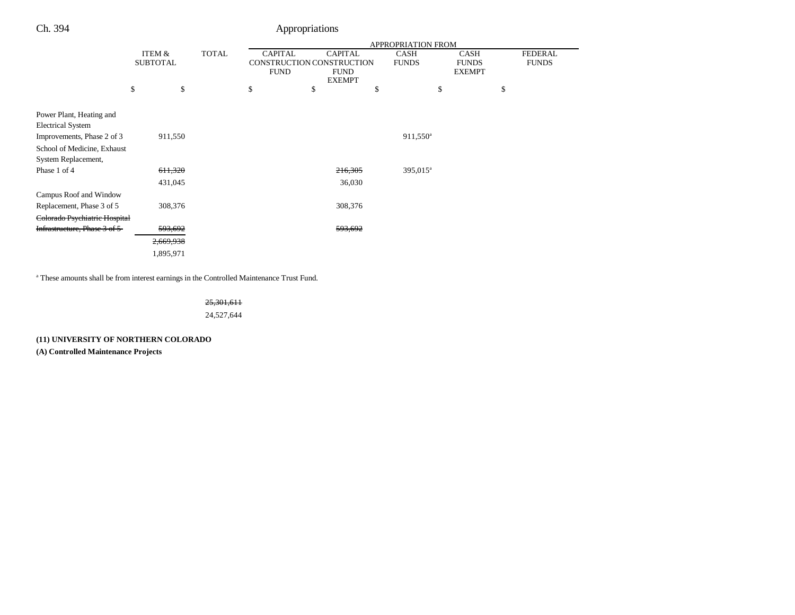|                               |                 |           |              | APPROPRIATION FROM |    |                              |    |                      |               |                |
|-------------------------------|-----------------|-----------|--------------|--------------------|----|------------------------------|----|----------------------|---------------|----------------|
|                               | ITEM &          |           | <b>TOTAL</b> | <b>CAPITAL</b>     |    | <b>CAPITAL</b>               |    | <b>CASH</b>          | <b>CASH</b>   | <b>FEDERAL</b> |
|                               | <b>SUBTOTAL</b> |           |              |                    |    | CONSTRUCTION CONSTRUCTION    |    | <b>FUNDS</b>         | <b>FUNDS</b>  | <b>FUNDS</b>   |
|                               |                 |           |              | <b>FUND</b>        |    | <b>FUND</b><br><b>EXEMPT</b> |    |                      | <b>EXEMPT</b> |                |
|                               | \$              | \$        |              | \$                 | \$ |                              | \$ |                      | \$            | \$             |
|                               |                 |           |              |                    |    |                              |    |                      |               |                |
| Power Plant, Heating and      |                 |           |              |                    |    |                              |    |                      |               |                |
| <b>Electrical System</b>      |                 |           |              |                    |    |                              |    |                      |               |                |
| Improvements, Phase 2 of 3    |                 | 911,550   |              |                    |    |                              |    | 911,550 <sup>a</sup> |               |                |
| School of Medicine, Exhaust   |                 |           |              |                    |    |                              |    |                      |               |                |
| System Replacement,           |                 |           |              |                    |    |                              |    |                      |               |                |
| Phase 1 of 4                  |                 | 611,320   |              |                    |    | 216,305                      |    | 395,015 <sup>a</sup> |               |                |
|                               |                 |           |              |                    |    |                              |    |                      |               |                |
|                               |                 | 431,045   |              |                    |    | 36,030                       |    |                      |               |                |
| Campus Roof and Window        |                 |           |              |                    |    |                              |    |                      |               |                |
| Replacement, Phase 3 of 5     |                 | 308,376   |              |                    |    | 308,376                      |    |                      |               |                |
| Colorado Psychiatric Hospital |                 |           |              |                    |    |                              |    |                      |               |                |
| Infrastructure, Phase 3 of 5  |                 | 593,692   |              |                    |    | 593,692                      |    |                      |               |                |
|                               |                 | 2,669,938 |              |                    |    |                              |    |                      |               |                |
|                               |                 | 1,895,971 |              |                    |    |                              |    |                      |               |                |

a These amounts shall be from interest earnings in the Controlled Maintenance Trust Fund.

# 25,301,611

24,527,644

### **(11) UNIVERSITY OF NORTHERN COLORADO**

**(A) Controlled Maintenance Projects**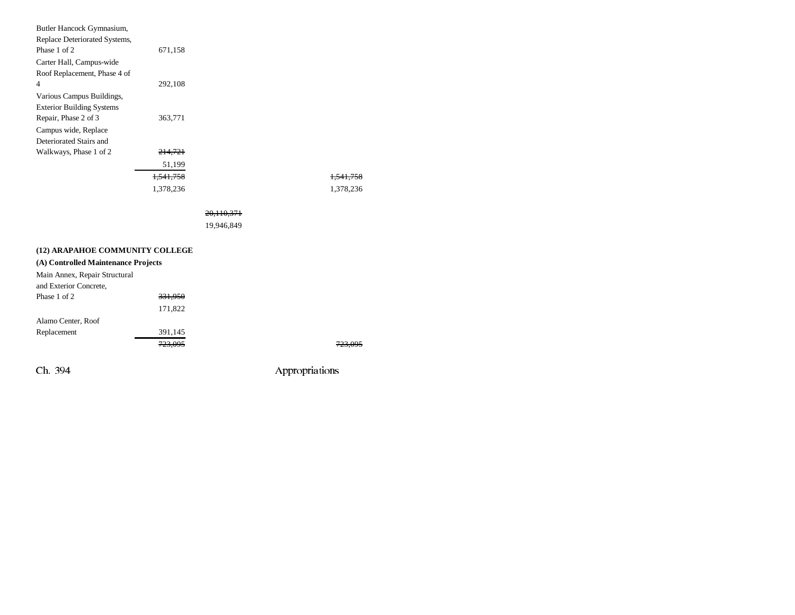| Butler Hancock Gymnasium,                               |                    |            |           |
|---------------------------------------------------------|--------------------|------------|-----------|
| Replace Deteriorated Systems,                           |                    |            |           |
| Phase 1 of 2                                            | 671,158            |            |           |
| Carter Hall, Campus-wide                                |                    |            |           |
| Roof Replacement, Phase 4 of                            |                    |            |           |
| 4                                                       | 292,108            |            |           |
| Various Campus Buildings,                               |                    |            |           |
| <b>Exterior Building Systems</b>                        |                    |            |           |
| Repair, Phase 2 of 3                                    | 363,771            |            |           |
| Campus wide, Replace                                    |                    |            |           |
| Deteriorated Stairs and                                 |                    |            |           |
| Walkways, Phase 1 of 2                                  | 214,721            |            |           |
|                                                         | 51,199             |            |           |
|                                                         | 1,541,758          |            |           |
|                                                         | 1,378,236          |            | 1,378,236 |
|                                                         |                    | 20,110,371 |           |
|                                                         |                    | 19,946,849 |           |
|                                                         |                    |            |           |
| (12) ARAPAHOE COMMUNITY COLLEGE                         |                    |            |           |
| (A) Controlled Maintenance Projects                     |                    |            |           |
| Main Annex, Repair Structural<br>and Exterior Concrete, |                    |            |           |
| Phase 1 of 2                                            | <del>331,950</del> |            |           |
|                                                         | 171,822            |            |           |
| Alamo Center, Roof                                      |                    |            |           |
| Replacement                                             | 391,145            |            |           |
|                                                         | 723.095            |            |           |
|                                                         |                    |            |           |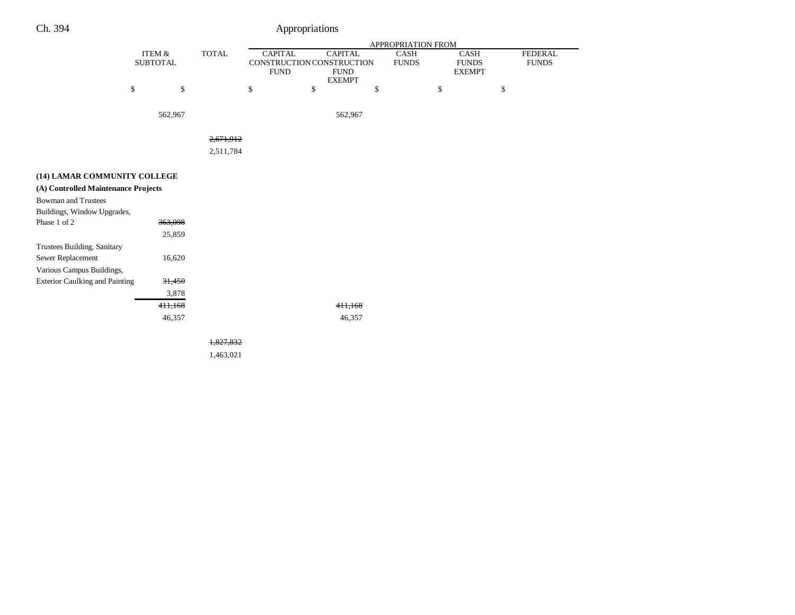|                                                                    | ITEM &<br><b>SUBTOTAL</b> |         | <b>TOTAL</b> | <b>CAPITAL</b> |                           |                                                |                             |                                       |                                |
|--------------------------------------------------------------------|---------------------------|---------|--------------|----------------|---------------------------|------------------------------------------------|-----------------------------|---------------------------------------|--------------------------------|
|                                                                    |                           |         |              | <b>FUND</b>    | CONSTRUCTION CONSTRUCTION | <b>CAPITAL</b><br><b>FUND</b><br><b>EXEMPT</b> | <b>CASH</b><br><b>FUNDS</b> | CASH<br><b>FUNDS</b><br><b>EXEMPT</b> | <b>FEDERAL</b><br><b>FUNDS</b> |
|                                                                    | \$                        | \$      |              | \$             | \$                        | \$                                             |                             | \$<br>\$                              |                                |
|                                                                    |                           | 562,967 |              |                |                           | 562,967                                        |                             |                                       |                                |
|                                                                    |                           |         | 2,671,912    |                |                           |                                                |                             |                                       |                                |
|                                                                    |                           |         | 2,511,784    |                |                           |                                                |                             |                                       |                                |
| (14) LAMAR COMMUNITY COLLEGE                                       |                           |         |              |                |                           |                                                |                             |                                       |                                |
| (A) Controlled Maintenance Projects                                |                           |         |              |                |                           |                                                |                             |                                       |                                |
| <b>Bowman and Trustees</b><br>Buildings, Window Upgrades,          |                           |         |              |                |                           |                                                |                             |                                       |                                |
| Phase 1 of 2                                                       |                           | 363,098 |              |                |                           |                                                |                             |                                       |                                |
|                                                                    |                           | 25,859  |              |                |                           |                                                |                             |                                       |                                |
| Trustees Building, Sanitary<br>Sewer Replacement                   |                           | 16,620  |              |                |                           |                                                |                             |                                       |                                |
| Various Campus Buildings,<br><b>Exterior Caulking and Painting</b> |                           | 31,450  |              |                |                           |                                                |                             |                                       |                                |
|                                                                    |                           | 3,878   |              |                |                           |                                                |                             |                                       |                                |
|                                                                    |                           | 411,168 |              |                |                           | 411,168                                        |                             |                                       |                                |
|                                                                    |                           | 46,357  |              |                |                           | 46,357                                         |                             |                                       |                                |

1,827,832 1,463,021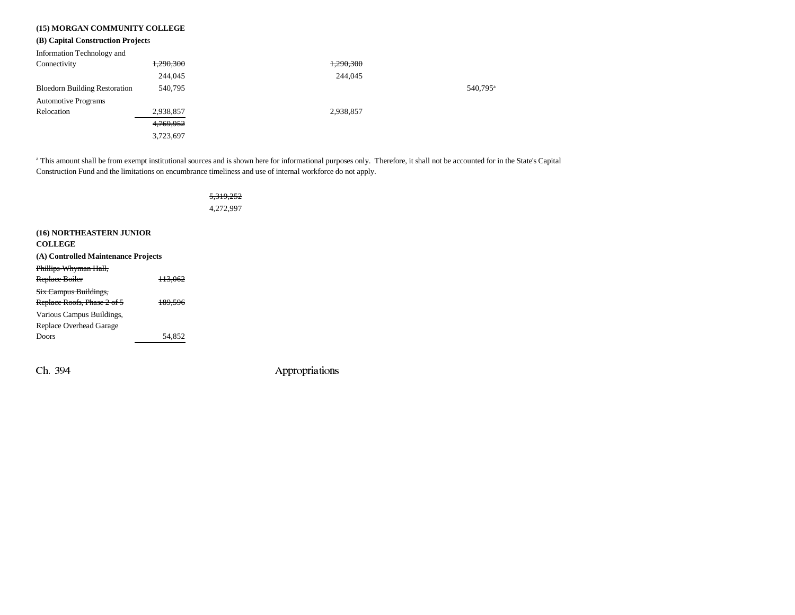| (15) MORGAN COMMUNITY COLLEGE        |           |           |                      |
|--------------------------------------|-----------|-----------|----------------------|
| (B) Capital Construction Projects    |           |           |                      |
| Information Technology and           |           |           |                      |
| Connectivity                         | 1,290,300 | 1,290,300 |                      |
|                                      | 244,045   | 244,045   |                      |
| <b>Bloedorn Building Restoration</b> | 540,795   |           | 540,795 <sup>a</sup> |
| <b>Automotive Programs</b>           |           |           |                      |
| Relocation                           | 2,938,857 | 2,938,857 |                      |
|                                      | 4,769,952 |           |                      |
|                                      | 3.723.697 |           |                      |

<sup>a</sup> This amount shall be from exempt institutional sources and is shown here for informational purposes only. Therefore, it shall not be accounted for in the State's Capital Construction Fund and the limitations on encumbrance timeliness and use of internal workforce do not apply.

|                                     |                    | <del>5.319.252</del> |
|-------------------------------------|--------------------|----------------------|
|                                     |                    | 4,272,997            |
|                                     |                    |                      |
| (16) NORTHEASTERN JUNIOR            |                    |                      |
| <b>COLLEGE</b>                      |                    |                      |
| (A) Controlled Maintenance Projects |                    |                      |
| Phillips-Whyman Hall,               |                    |                      |
| Replace Boiler                      | <del>113.062</del> |                      |
| <b>Six Campus Buildings,</b>        |                    |                      |
| Replace Roofs, Phase 2 of 5         | 189.596            |                      |
| Various Campus Buildings,           |                    |                      |
| Replace Overhead Garage             |                    |                      |
| Doors                               | 54.852             |                      |
|                                     |                    |                      |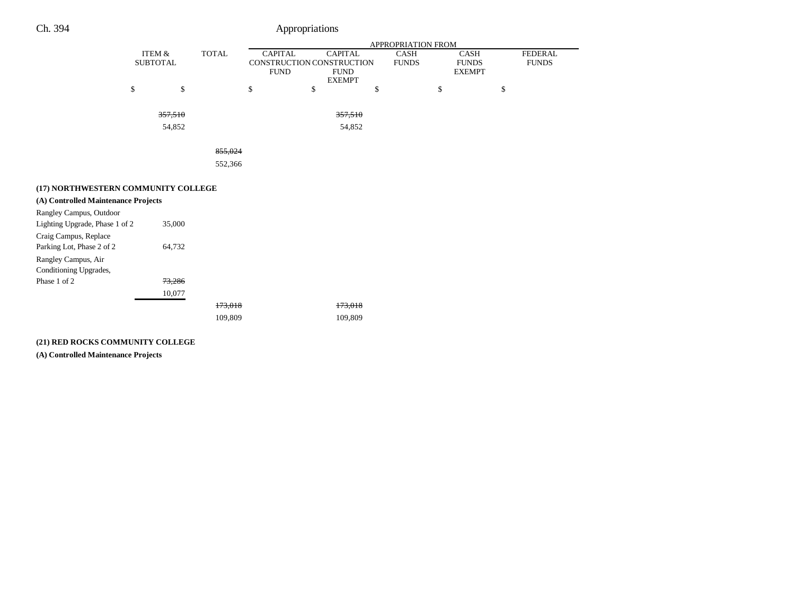| Ch. 394                             |                           |              |                               | Appropriations                                                              |                      |                                              |                                |
|-------------------------------------|---------------------------|--------------|-------------------------------|-----------------------------------------------------------------------------|----------------------|----------------------------------------------|--------------------------------|
|                                     |                           |              |                               |                                                                             | APPROPRIATION FROM   |                                              |                                |
|                                     | ITEM &<br><b>SUBTOTAL</b> | <b>TOTAL</b> | <b>CAPITAL</b><br><b>FUND</b> | <b>CAPITAL</b><br>CONSTRUCTION CONSTRUCTION<br><b>FUND</b><br><b>EXEMPT</b> | CASH<br><b>FUNDS</b> | <b>CASH</b><br><b>FUNDS</b><br><b>EXEMPT</b> | <b>FEDERAL</b><br><b>FUNDS</b> |
|                                     | \$<br>\$                  |              | \$                            | \$                                                                          | \$<br>\$             | \$                                           |                                |
|                                     | 357,510                   |              |                               | 357,510                                                                     |                      |                                              |                                |
|                                     | 54,852                    |              |                               | 54,852                                                                      |                      |                                              |                                |
|                                     |                           | 855,024      |                               |                                                                             |                      |                                              |                                |
|                                     |                           | 552,366      |                               |                                                                             |                      |                                              |                                |
| (17) NORTHWESTERN COMMUNITY COLLEGE |                           |              |                               |                                                                             |                      |                                              |                                |
| (A) Controlled Maintenance Projects |                           |              |                               |                                                                             |                      |                                              |                                |
| Rangley Campus, Outdoor             |                           |              |                               |                                                                             |                      |                                              |                                |
| Lighting Upgrade, Phase 1 of 2      | 35,000                    |              |                               |                                                                             |                      |                                              |                                |
| Craig Campus, Replace               |                           |              |                               |                                                                             |                      |                                              |                                |
| Parking Lot, Phase 2 of 2           | 64,732                    |              |                               |                                                                             |                      |                                              |                                |
| Rangley Campus, Air                 |                           |              |                               |                                                                             |                      |                                              |                                |
| Conditioning Upgrades,              |                           |              |                               |                                                                             |                      |                                              |                                |
| Phase 1 of 2                        | 73,286                    |              |                               |                                                                             |                      |                                              |                                |
|                                     | 10,077                    |              |                               |                                                                             |                      |                                              |                                |
|                                     |                           | 173.018      |                               | 173,018                                                                     |                      |                                              |                                |

109,809 109,809

**(21) RED ROCKS COMMUNITY COLLEGE**

**(A) Controlled Maintenance Projects**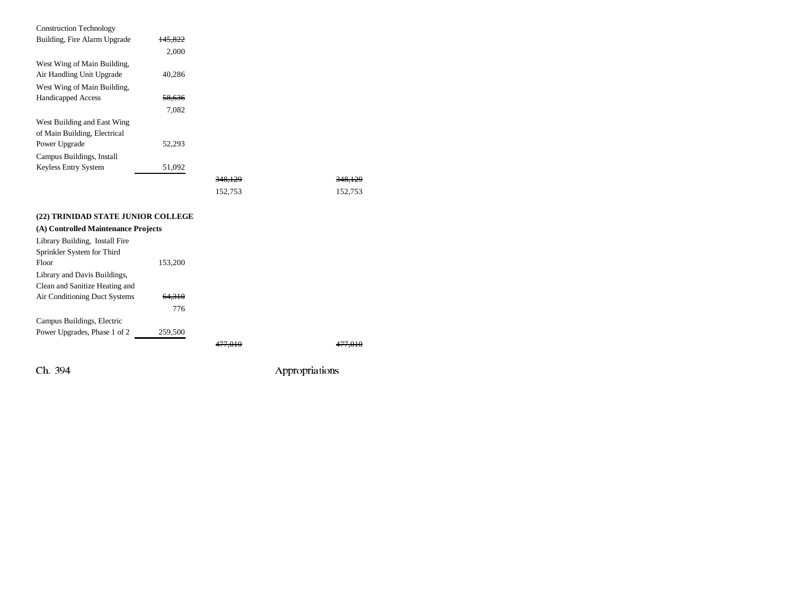| <b>Construction Technology</b>      |                   |         |                    |
|-------------------------------------|-------------------|---------|--------------------|
| Building, Fire Alarm Upgrade        | 145.822           |         |                    |
|                                     | 2,000             |         |                    |
| West Wing of Main Building,         |                   |         |                    |
| Air Handling Unit Upgrade           | 40,286            |         |                    |
| West Wing of Main Building,         |                   |         |                    |
| <b>Handicapped Access</b>           | 58,636            |         |                    |
|                                     | 7,082             |         |                    |
| West Building and East Wing         |                   |         |                    |
| of Main Building, Electrical        |                   |         |                    |
| Power Upgrade                       | 52,293            |         |                    |
| Campus Buildings, Install           |                   |         |                    |
| Keyless Entry System                | 51,092            |         |                    |
|                                     |                   | 348,129 | <del>348,129</del> |
|                                     |                   | 152,753 | 152,753            |
| (22) TRINIDAD STATE JUNIOR COLLEGE  |                   |         |                    |
| (A) Controlled Maintenance Projects |                   |         |                    |
|                                     |                   |         |                    |
| Library Building, Install Fire      |                   |         |                    |
| Sprinkler System for Third<br>Floor | 153,200           |         |                    |
|                                     |                   |         |                    |
| Library and Davis Buildings,        |                   |         |                    |
| Clean and Sanitize Heating and      |                   |         |                    |
| Air Conditioning Duct Systems       | <del>64,310</del> |         |                    |
|                                     | 776               |         |                    |
| Campus Buildings, Electric          |                   |         |                    |
| Power Upgrades, Phase 1 of 2        | 259,500           |         |                    |
|                                     |                   | 477.010 |                    |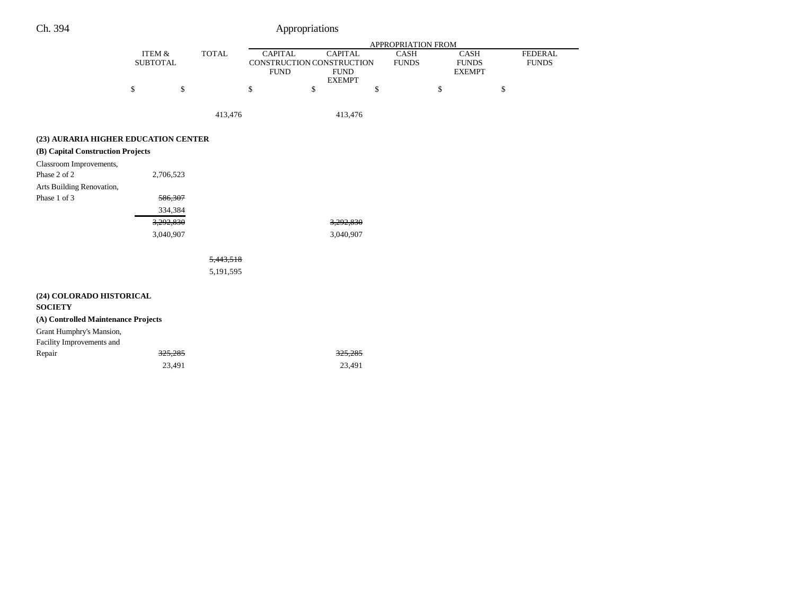|                                                       |                                      |              |                               |                                                            | <b>APPROPRIATION FROM</b> |                                       |                                |
|-------------------------------------------------------|--------------------------------------|--------------|-------------------------------|------------------------------------------------------------|---------------------------|---------------------------------------|--------------------------------|
|                                                       | <b>ITEM &amp;</b><br><b>SUBTOTAL</b> | <b>TOTAL</b> | <b>CAPITAL</b><br><b>FUND</b> | <b>CAPITAL</b><br>CONSTRUCTION CONSTRUCTION<br><b>FUND</b> | CASH<br><b>FUNDS</b>      | CASH<br><b>FUNDS</b><br><b>EXEMPT</b> | <b>FEDERAL</b><br><b>FUNDS</b> |
|                                                       |                                      |              |                               | <b>EXEMPT</b>                                              |                           |                                       |                                |
|                                                       | \$<br>\$                             |              | \$                            | \$                                                         | \$                        | \$                                    | \$                             |
|                                                       |                                      | 413,476      |                               | 413,476                                                    |                           |                                       |                                |
| (23) AURARIA HIGHER EDUCATION CENTER                  |                                      |              |                               |                                                            |                           |                                       |                                |
| (B) Capital Construction Projects                     |                                      |              |                               |                                                            |                           |                                       |                                |
| Classroom Improvements,                               |                                      |              |                               |                                                            |                           |                                       |                                |
| Phase 2 of 2                                          | 2,706,523                            |              |                               |                                                            |                           |                                       |                                |
| Arts Building Renovation,                             |                                      |              |                               |                                                            |                           |                                       |                                |
| Phase 1 of 3                                          | 586,307                              |              |                               |                                                            |                           |                                       |                                |
|                                                       | 334,384                              |              |                               |                                                            |                           |                                       |                                |
|                                                       | 3,292,830                            |              |                               | 3,292,830                                                  |                           |                                       |                                |
|                                                       | 3,040,907                            |              |                               | 3,040,907                                                  |                           |                                       |                                |
|                                                       |                                      | 5,443,518    |                               |                                                            |                           |                                       |                                |
|                                                       |                                      | 5,191,595    |                               |                                                            |                           |                                       |                                |
| (24) COLORADO HISTORICAL<br><b>SOCIETY</b>            |                                      |              |                               |                                                            |                           |                                       |                                |
| (A) Controlled Maintenance Projects                   |                                      |              |                               |                                                            |                           |                                       |                                |
| Grant Humphry's Mansion,<br>Facility Improvements and |                                      |              |                               |                                                            |                           |                                       |                                |
| Repair                                                | 325,285                              |              |                               | 325,285                                                    |                           |                                       |                                |
|                                                       | 23,491                               |              |                               | 23,491                                                     |                           |                                       |                                |
|                                                       |                                      |              |                               |                                                            |                           |                                       |                                |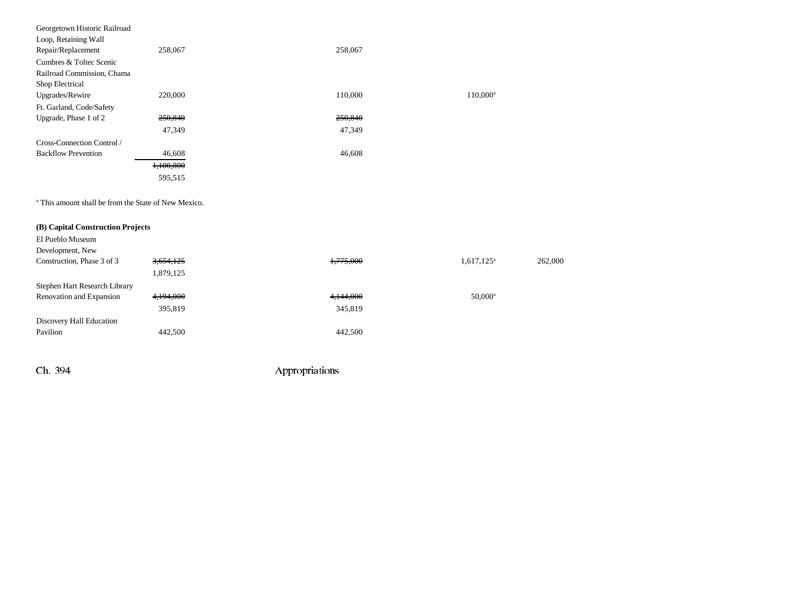| Georgetown Historic Railroad |           |         |             |
|------------------------------|-----------|---------|-------------|
| Loop, Retaining Wall         |           |         |             |
| Repair/Replacement           | 258,067   | 258,067 |             |
| Cumbres & Toltec Scenic      |           |         |             |
| Railroad Commission, Chama   |           |         |             |
| Shop Electrical              |           |         |             |
| Upgrades/Rewire              | 220,000   | 110,000 | $110,000^a$ |
| Ft. Garland, Code/Safety     |           |         |             |
| Upgrade, Phase 1 of 2        | 250,840   | 250,840 |             |
|                              | 47,349    | 47,349  |             |
| Cross-Connection Control /   |           |         |             |
| <b>Backflow Prevention</b>   | 46,608    | 46,608  |             |
|                              | 1,100,800 |         |             |
|                              | 595,515   |         |             |
|                              |           |         |             |

a This amount shall be from the State of New Mexico.

### **(B) Capital Construction Projects**

| El Pueblo Museum              |                      |           |                          |
|-------------------------------|----------------------|-----------|--------------------------|
| Development, New              |                      |           |                          |
| Construction, Phase 3 of 3    | <del>3,654,125</del> | 1,775,000 | $1,617,125^a$<br>262,000 |
|                               | 1,879,125            |           |                          |
| Stephen Hart Research Library |                      |           |                          |
| Renovation and Expansion      | 4,194,000            | 4,144,000 | $50,000^{\rm a}$         |
|                               | 395,819              | 345,819   |                          |
| Discovery Hall Education      |                      |           |                          |
| Pavilion                      | 442,500              | 442,500   |                          |
|                               |                      |           |                          |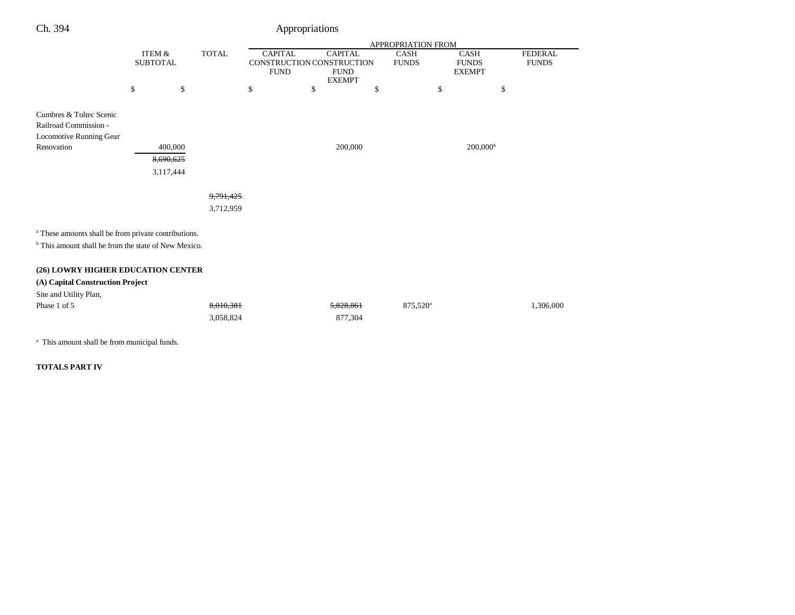| Ch. 394                                                                                                                            | Appropriations                       |              |                               |                                                                             |                      |                             |                                              |                                |  |  |
|------------------------------------------------------------------------------------------------------------------------------------|--------------------------------------|--------------|-------------------------------|-----------------------------------------------------------------------------|----------------------|-----------------------------|----------------------------------------------|--------------------------------|--|--|
|                                                                                                                                    |                                      |              |                               |                                                                             |                      | APPROPRIATION FROM          |                                              |                                |  |  |
|                                                                                                                                    | <b>ITEM &amp;</b><br><b>SUBTOTAL</b> | <b>TOTAL</b> | <b>CAPITAL</b><br><b>FUND</b> | <b>CAPITAL</b><br>CONSTRUCTION CONSTRUCTION<br><b>FUND</b><br><b>EXEMPT</b> |                      | <b>CASH</b><br><b>FUNDS</b> | <b>CASH</b><br><b>FUNDS</b><br><b>EXEMPT</b> | <b>FEDERAL</b><br><b>FUNDS</b> |  |  |
|                                                                                                                                    | \$                                   | \$           | \$                            | \$                                                                          | \$                   | \$                          | \$                                           |                                |  |  |
| Cumbres & Toltec Scenic<br>Railroad Commission -<br>Locomotive Running Gear<br>Renovation                                          | 400,000<br>8,690,625<br>3,117,444    |              | 9,791,425                     |                                                                             | 200,000              |                             | $200,000^{\rm b}$                            |                                |  |  |
|                                                                                                                                    |                                      |              | 3,712,959                     |                                                                             |                      |                             |                                              |                                |  |  |
| <sup>a</sup> These amounts shall be from private contributions.<br><sup>b</sup> This amount shall be from the state of New Mexico. |                                      |              |                               |                                                                             |                      |                             |                                              |                                |  |  |
| (26) LOWRY HIGHER EDUCATION CENTER<br>(A) Capital Construction Project<br>Site and Utility Plan,                                   |                                      |              |                               |                                                                             |                      |                             |                                              |                                |  |  |
| Phase 1 of 5                                                                                                                       |                                      |              | 8,010,381<br>3,058,824        |                                                                             | 5,828,861<br>877,304 | 875,520 <sup>a</sup>        |                                              | 1,306,000                      |  |  |

<sup>a</sup> This amount shall be from municipal funds.

**TOTALS PART IV**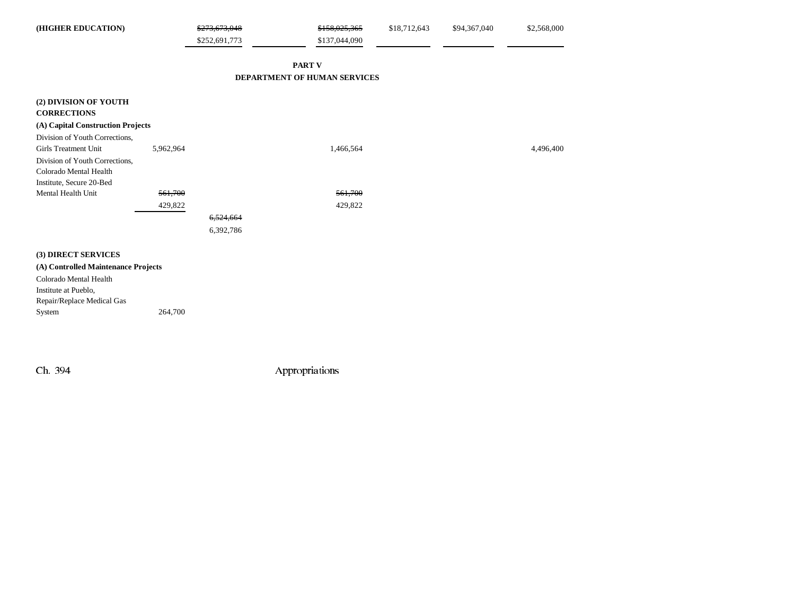| (HIGHER EDUCATION)                             |           | <del>\$273,673,048</del><br>\$252,691,773 |                                               | \$158,025,365<br>\$137,044,090 | \$18,712,643 | \$94,367,040 | \$2,568,000 |  |  |  |
|------------------------------------------------|-----------|-------------------------------------------|-----------------------------------------------|--------------------------------|--------------|--------------|-------------|--|--|--|
|                                                |           |                                           | <b>PART V</b><br>DEPARTMENT OF HUMAN SERVICES |                                |              |              |             |  |  |  |
|                                                |           |                                           |                                               |                                |              |              |             |  |  |  |
| (2) DIVISION OF YOUTH<br><b>CORRECTIONS</b>    |           |                                           |                                               |                                |              |              |             |  |  |  |
| (A) Capital Construction Projects              |           |                                           |                                               |                                |              |              |             |  |  |  |
| Division of Youth Corrections,                 |           |                                           |                                               |                                |              |              |             |  |  |  |
| Girls Treatment Unit                           | 5,962,964 |                                           |                                               | 1,466,564                      |              |              | 4,496,400   |  |  |  |
| Division of Youth Corrections,                 |           |                                           |                                               |                                |              |              |             |  |  |  |
| Colorado Mental Health                         |           |                                           |                                               |                                |              |              |             |  |  |  |
| Institute, Secure 20-Bed<br>Mental Health Unit | 561,700   |                                           |                                               | 561,700                        |              |              |             |  |  |  |
|                                                | 429,822   |                                           |                                               | 429,822                        |              |              |             |  |  |  |
|                                                |           | 6.524.664                                 |                                               |                                |              |              |             |  |  |  |
|                                                |           | 6,392,786                                 |                                               |                                |              |              |             |  |  |  |
|                                                |           |                                           |                                               |                                |              |              |             |  |  |  |
| (3) DIRECT SERVICES                            |           |                                           |                                               |                                |              |              |             |  |  |  |
| (A) Controlled Maintenance Projects            |           |                                           |                                               |                                |              |              |             |  |  |  |
| Colorado Mental Health                         |           |                                           |                                               |                                |              |              |             |  |  |  |

Institute at Pueblo,

Repair/Replace Medical Gas System 264,700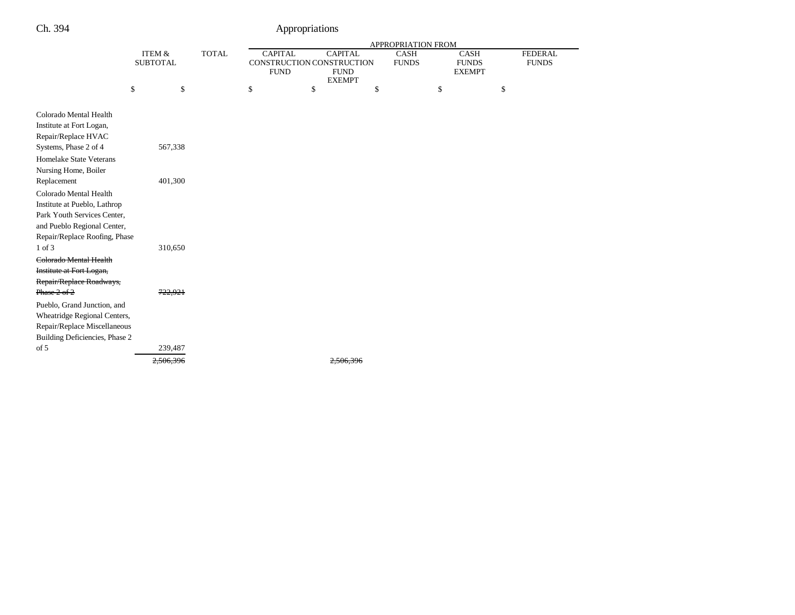|                                                                                                                                                       |                           |              | APPROPRIATION FROM |                                                                                                              |    |  |                                                                             |    |                                |  |
|-------------------------------------------------------------------------------------------------------------------------------------------------------|---------------------------|--------------|--------------------|--------------------------------------------------------------------------------------------------------------|----|--|-----------------------------------------------------------------------------|----|--------------------------------|--|
|                                                                                                                                                       | ITEM &<br><b>SUBTOTAL</b> | <b>TOTAL</b> |                    | <b>CAPITAL</b><br><b>CAPITAL</b><br>CONSTRUCTION CONSTRUCTION<br><b>FUND</b><br><b>FUND</b><br><b>EXEMPT</b> |    |  | <b>CASH</b><br><b>CASH</b><br><b>FUNDS</b><br><b>FUNDS</b><br><b>EXEMPT</b> |    | <b>FEDERAL</b><br><b>FUNDS</b> |  |
|                                                                                                                                                       | \$<br>\$                  |              | \$                 | \$                                                                                                           | \$ |  | \$                                                                          | \$ |                                |  |
| Colorado Mental Health<br>Institute at Fort Logan,<br>Repair/Replace HVAC                                                                             |                           |              |                    |                                                                                                              |    |  |                                                                             |    |                                |  |
| Systems, Phase 2 of 4<br>Homelake State Veterans                                                                                                      | 567,338                   |              |                    |                                                                                                              |    |  |                                                                             |    |                                |  |
| Nursing Home, Boiler<br>Replacement                                                                                                                   | 401,300                   |              |                    |                                                                                                              |    |  |                                                                             |    |                                |  |
| Colorado Mental Health<br>Institute at Pueblo, Lathrop<br>Park Youth Services Center,<br>and Pueblo Regional Center,<br>Repair/Replace Roofing, Phase |                           |              |                    |                                                                                                              |    |  |                                                                             |    |                                |  |
| 1 of 3<br>Colorado Mental Health                                                                                                                      | 310,650                   |              |                    |                                                                                                              |    |  |                                                                             |    |                                |  |
| Institute at Fort Logan,<br>Repair/Replace Roadways,                                                                                                  |                           |              |                    |                                                                                                              |    |  |                                                                             |    |                                |  |
| Phase $2$ of $2$                                                                                                                                      | 722,921                   |              |                    |                                                                                                              |    |  |                                                                             |    |                                |  |
| Pueblo, Grand Junction, and<br>Wheatridge Regional Centers,<br>Repair/Replace Miscellaneous<br>Building Deficiencies, Phase 2                         |                           |              |                    |                                                                                                              |    |  |                                                                             |    |                                |  |
| of 5                                                                                                                                                  | 239,487                   |              |                    |                                                                                                              |    |  |                                                                             |    |                                |  |
|                                                                                                                                                       | 2,506,396                 |              |                    | <del>2.506.396</del>                                                                                         |    |  |                                                                             |    |                                |  |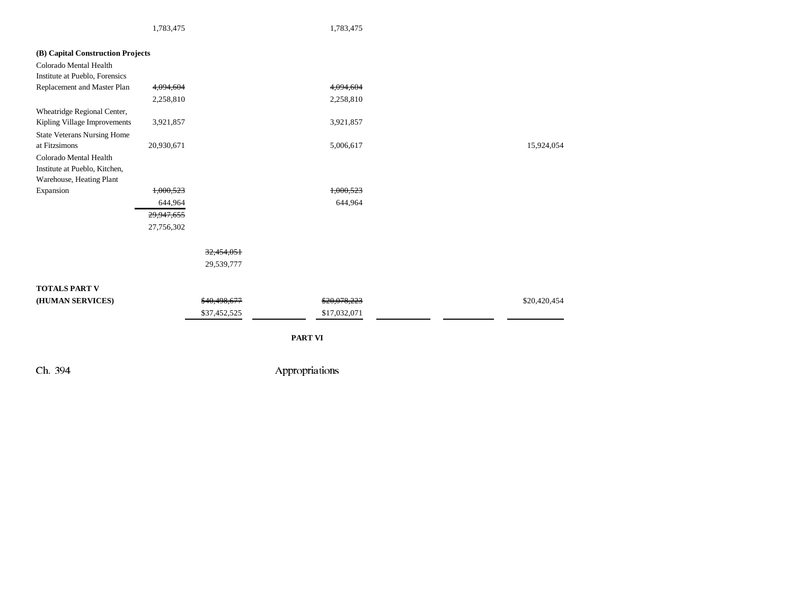|                                    | 1,783,475    | 1,783,475    |              |  |  |  |  |  |
|------------------------------------|--------------|--------------|--------------|--|--|--|--|--|
| (B) Capital Construction Projects  |              |              |              |  |  |  |  |  |
| Colorado Mental Health             |              |              |              |  |  |  |  |  |
| Institute at Pueblo, Forensics     |              |              |              |  |  |  |  |  |
| Replacement and Master Plan        | 4,094,604    | 4,094,604    |              |  |  |  |  |  |
|                                    | 2,258,810    | 2,258,810    |              |  |  |  |  |  |
| Wheatridge Regional Center,        |              |              |              |  |  |  |  |  |
| Kipling Village Improvements       | 3,921,857    | 3,921,857    |              |  |  |  |  |  |
| <b>State Veterans Nursing Home</b> |              |              |              |  |  |  |  |  |
| at Fitzsimons                      | 20,930,671   | 5,006,617    | 15,924,054   |  |  |  |  |  |
| Colorado Mental Health             |              |              |              |  |  |  |  |  |
| Institute at Pueblo, Kitchen,      |              |              |              |  |  |  |  |  |
| Warehouse, Heating Plant           | 1,000,523    | 1,000,523    |              |  |  |  |  |  |
| Expansion                          |              | 644,964      |              |  |  |  |  |  |
|                                    | 644,964      |              |              |  |  |  |  |  |
|                                    | 29,947,655   |              |              |  |  |  |  |  |
|                                    | 27,756,302   |              |              |  |  |  |  |  |
|                                    | 32,454,051   |              |              |  |  |  |  |  |
|                                    | 29,539,777   |              |              |  |  |  |  |  |
| <b>TOTALS PART V</b>               |              |              |              |  |  |  |  |  |
| (HUMAN SERVICES)                   | \$40,498,677 | \$20,078,223 | \$20,420,454 |  |  |  |  |  |
|                                    |              |              |              |  |  |  |  |  |
|                                    | \$37,452,525 | \$17,032,071 |              |  |  |  |  |  |
| <b>PART VI</b>                     |              |              |              |  |  |  |  |  |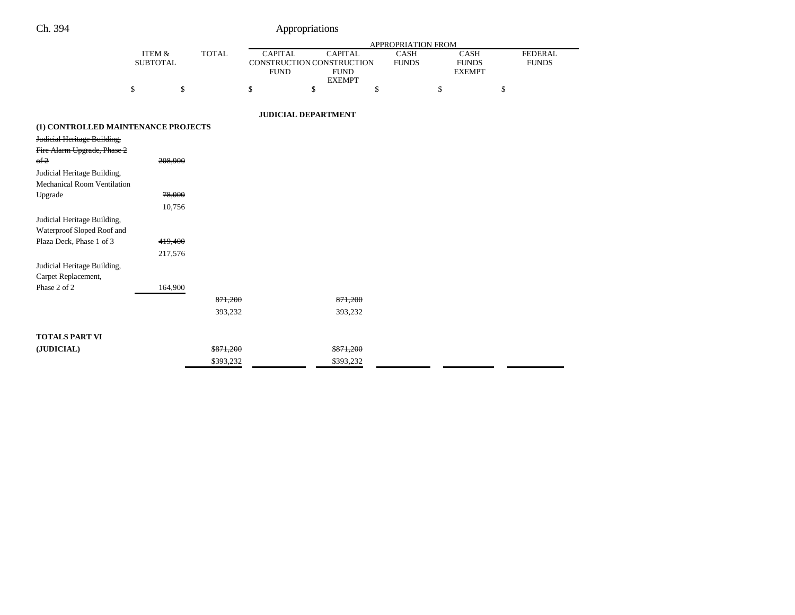|                                     |                                      |              | APPROPRIATION FROM            |                                                                             |                             |                                              |                                |  |
|-------------------------------------|--------------------------------------|--------------|-------------------------------|-----------------------------------------------------------------------------|-----------------------------|----------------------------------------------|--------------------------------|--|
|                                     | <b>ITEM &amp;</b><br><b>SUBTOTAL</b> | <b>TOTAL</b> | <b>CAPITAL</b><br><b>FUND</b> | <b>CAPITAL</b><br>CONSTRUCTION CONSTRUCTION<br><b>FUND</b><br><b>EXEMPT</b> | <b>CASH</b><br><b>FUNDS</b> | <b>CASH</b><br><b>FUNDS</b><br><b>EXEMPT</b> | <b>FEDERAL</b><br><b>FUNDS</b> |  |
|                                     | \$<br>\$                             |              | \$                            | \$                                                                          | \$                          | \$                                           | \$                             |  |
|                                     |                                      |              |                               | <b>JUDICIAL DEPARTMENT</b>                                                  |                             |                                              |                                |  |
| (1) CONTROLLED MAINTENANCE PROJECTS |                                      |              |                               |                                                                             |                             |                                              |                                |  |
| Judicial Heritage Building,         |                                      |              |                               |                                                                             |                             |                                              |                                |  |
| Fire Alarm Upgrade, Phase 2         |                                      |              |                               |                                                                             |                             |                                              |                                |  |
| of 2                                | 208,900                              |              |                               |                                                                             |                             |                                              |                                |  |
| Judicial Heritage Building,         |                                      |              |                               |                                                                             |                             |                                              |                                |  |
| Mechanical Room Ventilation         |                                      |              |                               |                                                                             |                             |                                              |                                |  |
| Upgrade                             | 78,000                               |              |                               |                                                                             |                             |                                              |                                |  |
|                                     | 10,756                               |              |                               |                                                                             |                             |                                              |                                |  |
| Judicial Heritage Building,         |                                      |              |                               |                                                                             |                             |                                              |                                |  |
| Waterproof Sloped Roof and          |                                      |              |                               |                                                                             |                             |                                              |                                |  |
| Plaza Deck, Phase 1 of 3            | 419,400                              |              |                               |                                                                             |                             |                                              |                                |  |
|                                     | 217,576                              |              |                               |                                                                             |                             |                                              |                                |  |
| Judicial Heritage Building,         |                                      |              |                               |                                                                             |                             |                                              |                                |  |
| Carpet Replacement,                 |                                      |              |                               |                                                                             |                             |                                              |                                |  |
| Phase 2 of 2                        | 164,900                              |              |                               |                                                                             |                             |                                              |                                |  |
|                                     |                                      | 871,200      |                               | 871,200                                                                     |                             |                                              |                                |  |
|                                     |                                      | 393,232      |                               | 393,232                                                                     |                             |                                              |                                |  |
| <b>TOTALS PART VI</b>               |                                      |              |                               |                                                                             |                             |                                              |                                |  |
| (JUDICIAL)                          |                                      | \$871,200    |                               | \$871,200                                                                   |                             |                                              |                                |  |
|                                     |                                      | \$393,232    |                               | \$393,232                                                                   |                             |                                              |                                |  |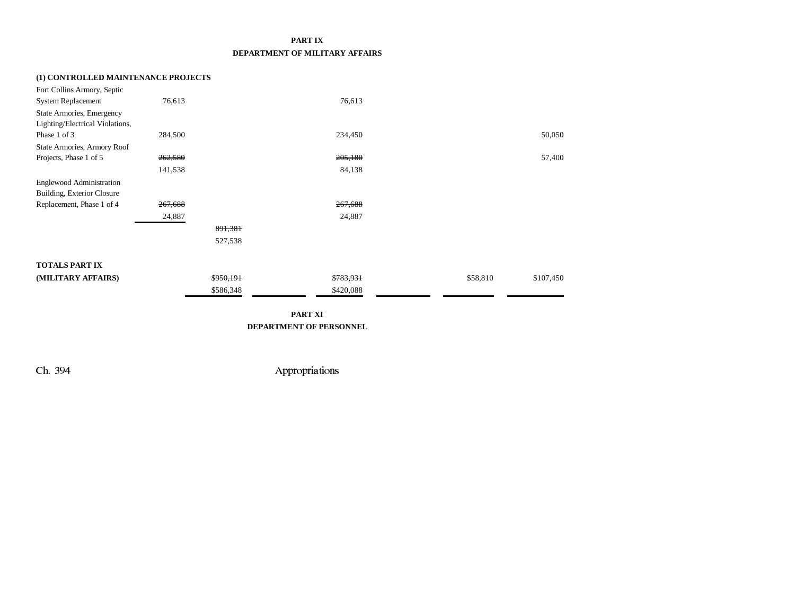### **PART IX DEPARTMENT OF MILITARY AFFAIRS**

| (1) CONTROLLED MAINTENANCE PROJECTS |         |           |           |          |           |
|-------------------------------------|---------|-----------|-----------|----------|-----------|
| Fort Collins Armory, Septic         |         |           |           |          |           |
| System Replacement                  | 76,613  |           | 76,613    |          |           |
| State Armories, Emergency           |         |           |           |          |           |
| Lighting/Electrical Violations,     |         |           |           |          |           |
| Phase 1 of 3                        | 284,500 |           | 234,450   |          | 50,050    |
| State Armories, Armory Roof         |         |           |           |          |           |
| Projects, Phase 1 of 5              | 262,580 |           | 205,180   |          | 57,400    |
|                                     | 141,538 |           | 84,138    |          |           |
| Englewood Administration            |         |           |           |          |           |
| Building, Exterior Closure          |         |           |           |          |           |
| Replacement, Phase 1 of 4           | 267,688 |           | 267,688   |          |           |
|                                     | 24,887  |           | 24,887    |          |           |
|                                     |         | 891,381   |           |          |           |
|                                     |         | 527,538   |           |          |           |
| <b>TOTALS PART IX</b>               |         |           |           |          |           |
| (MILITARY AFFAIRS)                  |         | \$950,191 | \$783,931 | \$58,810 | \$107,450 |
|                                     |         | \$586,348 | \$420,088 |          |           |

**PART XI DEPARTMENT OF PERSONNEL**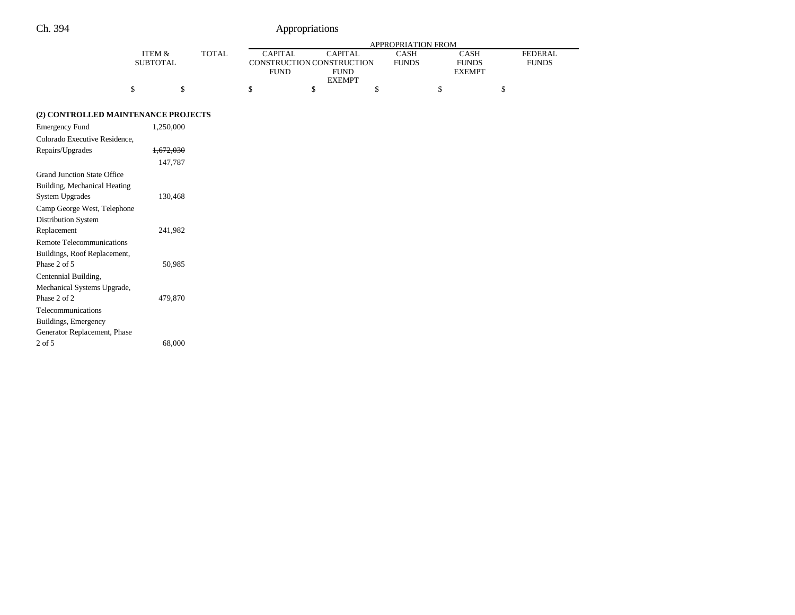|                                                                    |                           |              |                               |                                                                             | APPROPRIATION FROM          |                                              |                                |
|--------------------------------------------------------------------|---------------------------|--------------|-------------------------------|-----------------------------------------------------------------------------|-----------------------------|----------------------------------------------|--------------------------------|
|                                                                    | ITEM &<br><b>SUBTOTAL</b> | <b>TOTAL</b> | <b>CAPITAL</b><br><b>FUND</b> | <b>CAPITAL</b><br>CONSTRUCTION CONSTRUCTION<br><b>FUND</b><br><b>EXEMPT</b> | <b>CASH</b><br><b>FUNDS</b> | <b>CASH</b><br><b>FUNDS</b><br><b>EXEMPT</b> | <b>FEDERAL</b><br><b>FUNDS</b> |
|                                                                    | \$<br>\$                  |              | \$                            | \$                                                                          | \$                          | \$                                           | \$                             |
| (2) CONTROLLED MAINTENANCE PROJECTS                                |                           |              |                               |                                                                             |                             |                                              |                                |
| <b>Emergency Fund</b>                                              | 1,250,000                 |              |                               |                                                                             |                             |                                              |                                |
| Colorado Executive Residence,                                      |                           |              |                               |                                                                             |                             |                                              |                                |
| Repairs/Upgrades                                                   | 1,672,030                 |              |                               |                                                                             |                             |                                              |                                |
|                                                                    | 147,787                   |              |                               |                                                                             |                             |                                              |                                |
| <b>Grand Junction State Office</b><br>Building, Mechanical Heating |                           |              |                               |                                                                             |                             |                                              |                                |
| <b>System Upgrades</b>                                             | 130,468                   |              |                               |                                                                             |                             |                                              |                                |
| Camp George West, Telephone<br>Distribution System                 |                           |              |                               |                                                                             |                             |                                              |                                |
| Replacement                                                        | 241,982                   |              |                               |                                                                             |                             |                                              |                                |
| <b>Remote Telecommunications</b>                                   |                           |              |                               |                                                                             |                             |                                              |                                |
| Buildings, Roof Replacement,                                       |                           |              |                               |                                                                             |                             |                                              |                                |

Phase 2 of 5 50,985

Phase 2 of 2 479,870

2 of 5 68,000

Centennial Building, Mechanical Systems Upgrade,

Telecommunications Buildings, Emergency Generator Replacement, Phase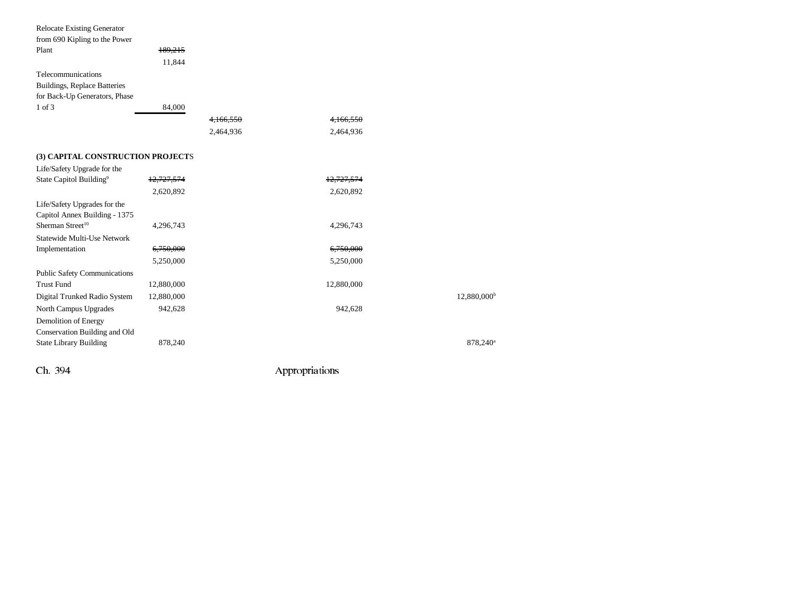| <b>Relocate Existing Generator</b>  |            |           |            |                           |
|-------------------------------------|------------|-----------|------------|---------------------------|
| from 690 Kipling to the Power       |            |           |            |                           |
| Plant                               | 189,215    |           |            |                           |
|                                     | 11,844     |           |            |                           |
| Telecommunications                  |            |           |            |                           |
| <b>Buildings, Replace Batteries</b> |            |           |            |                           |
| for Back-Up Generators, Phase       |            |           |            |                           |
| $1$ of $3$                          | 84,000     |           |            |                           |
|                                     |            | 4,166,550 | 4,166,550  |                           |
|                                     |            | 2,464,936 | 2,464,936  |                           |
| (3) CAPITAL CONSTRUCTION PROJECTS   |            |           |            |                           |
| Life/Safety Upgrade for the         |            |           |            |                           |
| State Capitol Building <sup>9</sup> | 12,727,574 |           | 12,727,574 |                           |
|                                     | 2,620,892  |           | 2,620,892  |                           |
| Life/Safety Upgrades for the        |            |           |            |                           |
| Capitol Annex Building - 1375       |            |           |            |                           |
| Sherman Street <sup>10</sup>        | 4,296,743  |           | 4,296,743  |                           |
| Statewide Multi-Use Network         |            |           |            |                           |
| Implementation                      | 6,750,000  |           | 6,750,000  |                           |
|                                     | 5,250,000  |           | 5,250,000  |                           |
| <b>Public Safety Communications</b> |            |           |            |                           |
| <b>Trust Fund</b>                   | 12,880,000 |           | 12,880,000 |                           |
| Digital Trunked Radio System        | 12,880,000 |           |            | $12,880,000$ <sup>t</sup> |
| North Campus Upgrades               | 942,628    |           | 942,628    |                           |
| Demolition of Energy                |            |           |            |                           |
| Conservation Building and Old       |            |           |            |                           |
| <b>State Library Building</b>       | 878,240    |           |            | 878,240 <sup>a</sup>      |
|                                     |            |           |            |                           |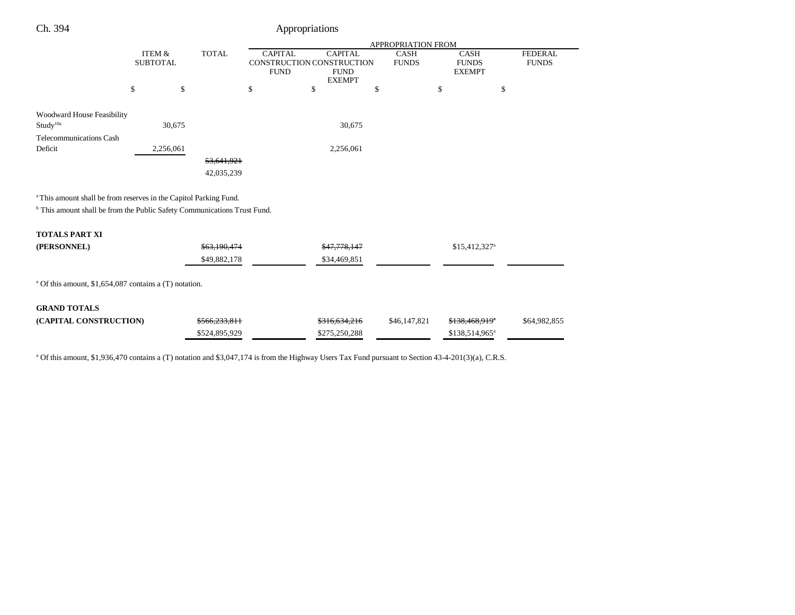| Ch. 394                                                                             |                                                      |                          |                    |                                                                                                              | Appropriations |    |                             |    |                                              |    |                                |
|-------------------------------------------------------------------------------------|------------------------------------------------------|--------------------------|--------------------|--------------------------------------------------------------------------------------------------------------|----------------|----|-----------------------------|----|----------------------------------------------|----|--------------------------------|
|                                                                                     |                                                      |                          | APPROPRIATION FROM |                                                                                                              |                |    |                             |    |                                              |    |                                |
|                                                                                     | <b>ITEM &amp;</b><br><b>TOTAL</b><br><b>SUBTOTAL</b> |                          |                    | <b>CAPITAL</b><br><b>CAPITAL</b><br>CONSTRUCTION CONSTRUCTION<br><b>FUND</b><br><b>FUND</b><br><b>EXEMPT</b> |                |    | <b>CASH</b><br><b>FUNDS</b> |    | <b>CASH</b><br><b>FUNDS</b><br><b>EXEMPT</b> |    | <b>FEDERAL</b><br><b>FUNDS</b> |
|                                                                                     | \$<br>\$                                             |                          | \$                 |                                                                                                              | \$             | \$ |                             | \$ |                                              | \$ |                                |
| Woodward House Feasibility                                                          |                                                      |                          |                    |                                                                                                              |                |    |                             |    |                                              |    |                                |
| Study <sup>10a</sup>                                                                | 30,675                                               |                          |                    |                                                                                                              | 30,675         |    |                             |    |                                              |    |                                |
| <b>Telecommunications Cash</b>                                                      |                                                      |                          |                    |                                                                                                              |                |    |                             |    |                                              |    |                                |
| Deficit                                                                             | 2,256,061                                            |                          |                    |                                                                                                              | 2,256,061      |    |                             |    |                                              |    |                                |
|                                                                                     |                                                      | 53,641,921               |                    |                                                                                                              |                |    |                             |    |                                              |    |                                |
|                                                                                     |                                                      | 42,035,239               |                    |                                                                                                              |                |    |                             |    |                                              |    |                                |
| <sup>a</sup> This amount shall be from reserves in the Capitol Parking Fund.        |                                                      |                          |                    |                                                                                                              |                |    |                             |    |                                              |    |                                |
| <sup>b</sup> This amount shall be from the Public Safety Communications Trust Fund. |                                                      |                          |                    |                                                                                                              |                |    |                             |    |                                              |    |                                |
| <b>TOTALS PART XI</b>                                                               |                                                      |                          |                    |                                                                                                              |                |    |                             |    |                                              |    |                                |
| (PERSONNEL)                                                                         |                                                      | \$63,190,474             |                    |                                                                                                              | \$47,778,147   |    |                             |    | $$15,412,327$ <sup>a</sup>                   |    |                                |
|                                                                                     |                                                      | \$49,882,178             |                    |                                                                                                              | \$34,469,851   |    |                             |    |                                              |    |                                |
| <sup>a</sup> Of this amount, \$1,654,087 contains a (T) notation.                   |                                                      |                          |                    |                                                                                                              |                |    |                             |    |                                              |    |                                |
| <b>GRAND TOTALS</b>                                                                 |                                                      |                          |                    |                                                                                                              |                |    |                             |    |                                              |    |                                |
| (CAPITAL CONSTRUCTION)                                                              |                                                      | <del>\$566,233,811</del> |                    |                                                                                                              | \$316,634,216  |    | \$46,147,821                |    | \$138,468,919 <sup>*</sup>                   |    | \$64,982,855                   |
|                                                                                     |                                                      | \$524,895,929            |                    |                                                                                                              | \$275,250,288  |    |                             |    | \$138,514,965 <sup>a</sup>                   |    |                                |

<sup>a</sup> Of this amount, \$1,936,470 contains a (T) notation and \$3,047,174 is from the Highway Users Tax Fund pursuant to Section 43-4-201(3)(a), C.R.S.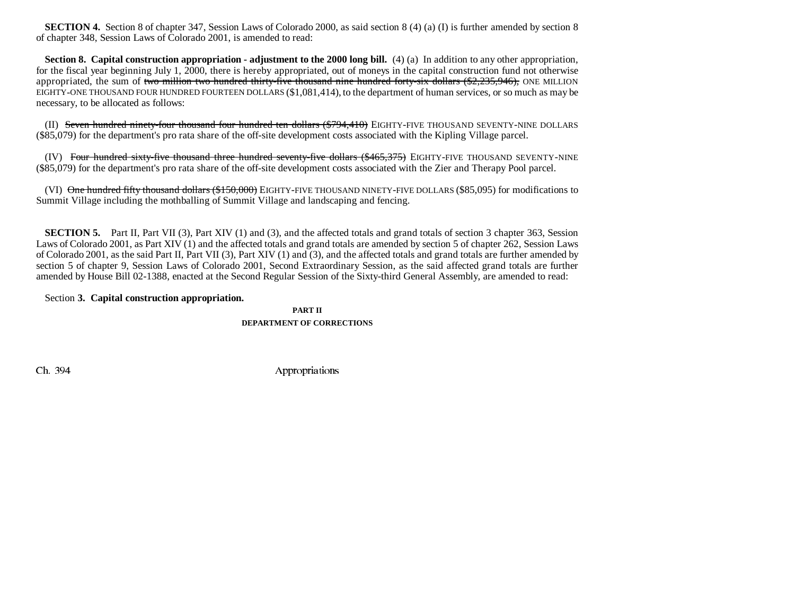**SECTION 4.** Section 8 of chapter 347, Session Laws of Colorado 2000, as said section 8 (4) (a) (I) is further amended by section 8 of chapter 348, Session Laws of Colorado 2001, is amended to read:

**Section 8. Capital construction appropriation - adjustment to the 2000 long bill.** (4) (a) In addition to any other appropriation, for the fiscal year beginning July 1, 2000, there is hereby appropriated, out of moneys in the capital construction fund not otherwise appropriated, the sum of two million two hundred thirty-five thousand nine hundred forty-six dollars  $(\$2,235,946)$ , ONE MILLION EIGHTY-ONE THOUSAND FOUR HUNDRED FOURTEEN DOLLARS (\$1,081,414), to the department of human services, or so much as may be necessary, to be allocated as follows:

(II) Seven hundred ninety-four thousand four hundred ten dollars (\$794,410) EIGHTY-FIVE THOUSAND SEVENTY-NINE DOLLARS (\$85,079) for the department's pro rata share of the off-site development costs associated with the Kipling Village parcel.

(IV) Four hundred sixty-five thousand three hundred seventy-five dollars (\$465,375) EIGHTY-FIVE THOUSAND SEVENTY-NINE (\$85,079) for the department's pro rata share of the off-site development costs associated with the Zier and Therapy Pool parcel.

(VI) One hundred fifty thousand dollars (\$150,000) EIGHTY-FIVE THOUSAND NINETY-FIVE DOLLARS (\$85,095) for modifications to Summit Village including the mothballing of Summit Village and landscaping and fencing.

**SECTION 5.** Part II, Part VII (3), Part XIV (1) and (3), and the affected totals and grand totals of section 3 chapter 363, Session Laws of Colorado 2001, as Part XIV (1) and the affected totals and grand totals are amended by section 5 of chapter 262, Session Laws of Colorado 2001, as the said Part II, Part VII (3), Part XIV (1) and (3), and the affected totals and grand totals are further amended by section 5 of chapter 9, Session Laws of Colorado 2001, Second Extraordinary Session, as the said affected grand totals are further amended by House Bill 02-1388, enacted at the Second Regular Session of the Sixty-third General Assembly, are amended to read:

### Section **3. Capital construction appropriation.**

**PART IIDEPARTMENT OF CORRECTIONS**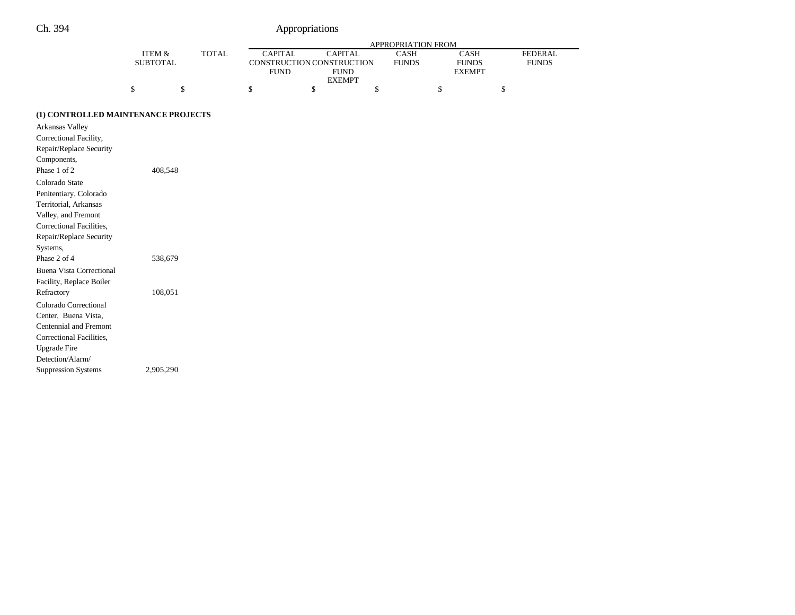FEDERAL FUNDS

|                                                                                                                                                             |                                      |              | APPROPRIATION FROM<br><b>CASH</b> |                                                                                            |    |    |                                       |  |  |
|-------------------------------------------------------------------------------------------------------------------------------------------------------------|--------------------------------------|--------------|-----------------------------------|--------------------------------------------------------------------------------------------|----|----|---------------------------------------|--|--|
|                                                                                                                                                             | <b>ITEM &amp;</b><br><b>SUBTOTAL</b> | <b>TOTAL</b> | <b>CAPITAL</b>                    | <b>CAPITAL</b><br>CONSTRUCTION CONSTRUCTION<br><b>FUND</b><br><b>FUND</b><br><b>EXEMPT</b> |    |    | CASH<br><b>FUNDS</b><br><b>EXEMPT</b> |  |  |
|                                                                                                                                                             | \$                                   | \$           | \$                                | \$                                                                                         | \$ | \$ | \$                                    |  |  |
| (1) CONTROLLED MAINTENANCE PROJECTS                                                                                                                         |                                      |              |                                   |                                                                                            |    |    |                                       |  |  |
| Arkansas Valley<br>Correctional Facility,<br>Repair/Replace Security<br>Components,<br>Phase 1 of 2                                                         | 408,548                              |              |                                   |                                                                                            |    |    |                                       |  |  |
| Colorado State<br>Penitentiary, Colorado<br>Territorial, Arkansas<br>Valley, and Fremont<br>Correctional Facilities,<br>Repair/Replace Security<br>Systems, |                                      |              |                                   |                                                                                            |    |    |                                       |  |  |
| Phase 2 of 4                                                                                                                                                | 538,679                              |              |                                   |                                                                                            |    |    |                                       |  |  |
| <b>Buena Vista Correctional</b><br>Facility, Replace Boiler<br>Refractory                                                                                   | 108,051                              |              |                                   |                                                                                            |    |    |                                       |  |  |
| Colorado Correctional<br>Center, Buena Vista,<br><b>Centennial and Fremont</b><br>Correctional Facilities,<br><b>Upgrade Fire</b><br>Detection/Alarm/       |                                      |              |                                   |                                                                                            |    |    |                                       |  |  |

Suppression Systems 2,905,290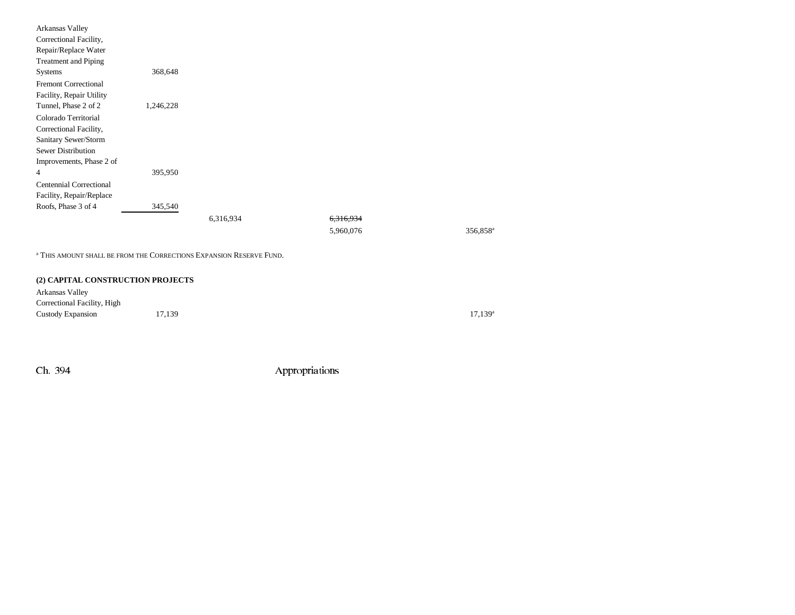| Arkansas Valley                |           |           |           |                      |
|--------------------------------|-----------|-----------|-----------|----------------------|
| Correctional Facility,         |           |           |           |                      |
| Repair/Replace Water           |           |           |           |                      |
| <b>Treatment and Piping</b>    |           |           |           |                      |
| Systems                        | 368,648   |           |           |                      |
| <b>Fremont Correctional</b>    |           |           |           |                      |
| Facility, Repair Utility       |           |           |           |                      |
| Tunnel, Phase 2 of 2           | 1,246,228 |           |           |                      |
| Colorado Territorial           |           |           |           |                      |
| Correctional Facility,         |           |           |           |                      |
| Sanitary Sewer/Storm           |           |           |           |                      |
| <b>Sewer Distribution</b>      |           |           |           |                      |
| Improvements, Phase 2 of       |           |           |           |                      |
| $\overline{4}$                 | 395,950   |           |           |                      |
| <b>Centennial Correctional</b> |           |           |           |                      |
| Facility, Repair/Replace       |           |           |           |                      |
| Roofs, Phase 3 of 4            | 345,540   |           |           |                      |
|                                |           | 6,316,934 | 6,316,934 |                      |
|                                |           |           | 5,960,076 | 356,858 <sup>a</sup> |
|                                |           |           |           |                      |

a THIS AMOUNT SHALL BE FROM THE CORRECTIONS EXPANSION RESERVE FUND.

### **(2) CAPITAL CONSTRUCTION PROJECTS**

Arkansas Valley Correctional Facility, High Custody Expansion 17,139 17,139 17,139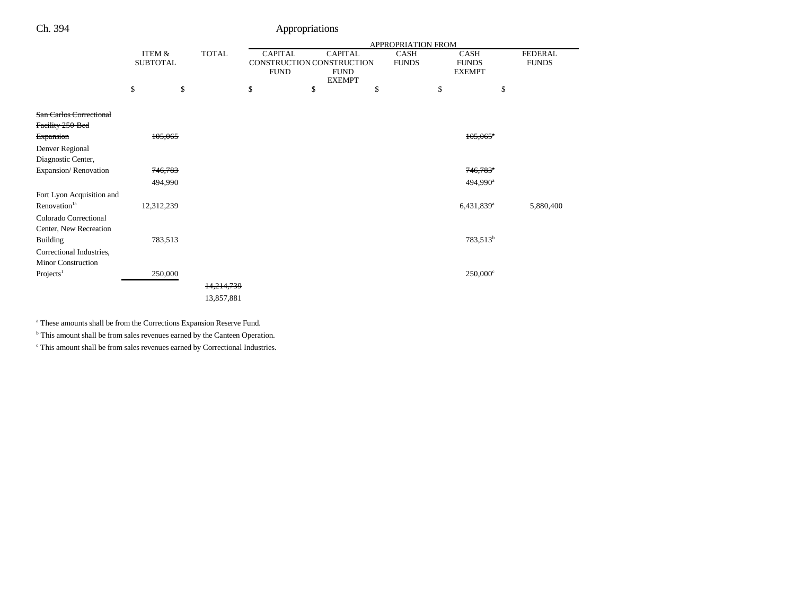|                                |                 |              |             | APPROPRIATION FROM        |             |                |    |              |                          |    |                |
|--------------------------------|-----------------|--------------|-------------|---------------------------|-------------|----------------|----|--------------|--------------------------|----|----------------|
|                                | ITEM &          | <b>TOTAL</b> |             | <b>CAPITAL</b>            |             | <b>CAPITAL</b> |    | CASH         | CASH                     |    | <b>FEDERAL</b> |
|                                | <b>SUBTOTAL</b> |              |             | CONSTRUCTION CONSTRUCTION |             |                |    | <b>FUNDS</b> | <b>FUNDS</b>             |    | <b>FUNDS</b>   |
|                                |                 |              | <b>FUND</b> |                           | <b>FUND</b> |                |    |              | <b>EXEMPT</b>            |    |                |
|                                | \$              | \$           | \$          |                           | \$          | <b>EXEMPT</b>  | \$ | \$           |                          | \$ |                |
|                                |                 |              |             |                           |             |                |    |              |                          |    |                |
| <b>San Carlos Correctional</b> |                 |              |             |                           |             |                |    |              |                          |    |                |
| Facility 250-Bed               |                 |              |             |                           |             |                |    |              |                          |    |                |
|                                | 105,065         |              |             |                           |             |                |    |              | $105.065$ <sup>*</sup>   |    |                |
| Expansion                      |                 |              |             |                           |             |                |    |              |                          |    |                |
| Denver Regional                |                 |              |             |                           |             |                |    |              |                          |    |                |
| Diagnostic Center,             |                 |              |             |                           |             |                |    |              |                          |    |                |
| Expansion/Renovation           | 746,783         |              |             |                           |             |                |    |              | $746,783$ <sup>*</sup>   |    |                |
|                                | 494,990         |              |             |                           |             |                |    |              | 494,990 <sup>a</sup>     |    |                |
| Fort Lyon Acquisition and      |                 |              |             |                           |             |                |    |              |                          |    |                |
| Renovation <sup>1a</sup>       | 12,312,239      |              |             |                           |             |                |    |              | $6,431,839$ <sup>a</sup> |    | 5,880,400      |
| Colorado Correctional          |                 |              |             |                           |             |                |    |              |                          |    |                |
| Center, New Recreation         |                 |              |             |                           |             |                |    |              |                          |    |                |
| <b>Building</b>                | 783,513         |              |             |                           |             |                |    |              | 783,513 <sup>b</sup>     |    |                |
|                                |                 |              |             |                           |             |                |    |              |                          |    |                |
| Correctional Industries,       |                 |              |             |                           |             |                |    |              |                          |    |                |
| Minor Construction             |                 |              |             |                           |             |                |    |              |                          |    |                |
| Projects <sup>1</sup>          | 250,000         |              |             |                           |             |                |    |              | $250,000$ °              |    |                |
|                                |                 |              | 14,214,739  |                           |             |                |    |              |                          |    |                |
|                                |                 |              | 13,857,881  |                           |             |                |    |              |                          |    |                |
|                                |                 |              |             |                           |             |                |    |              |                          |    |                |

a These amounts shall be from the Corrections Expansion Reserve Fund.

<sup>b</sup> This amount shall be from sales revenues earned by the Canteen Operation.

 $\,^{\mathrm{c}}$  This amount shall be from sales revenues earned by Correctional Industries.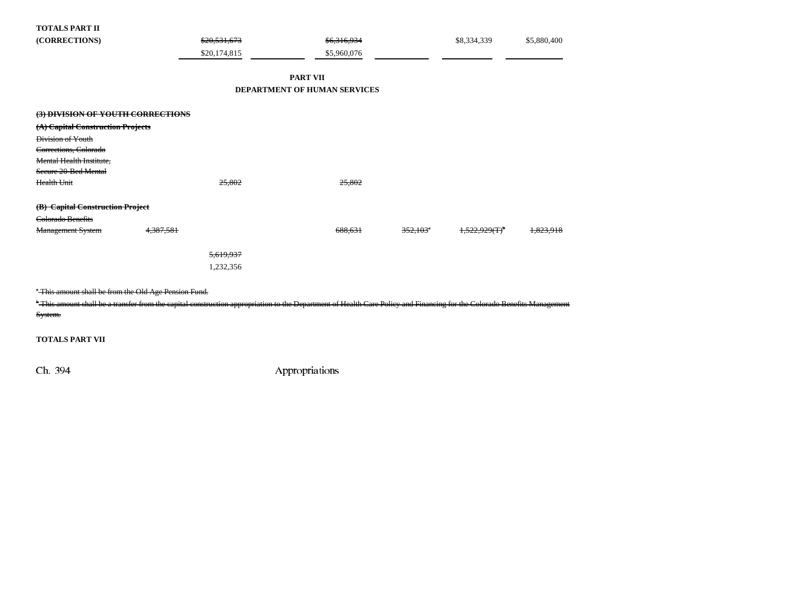**TOTALS PART II**

| (CORRECTIONS) | \$20,531,673 | \$6,316,934 | \$8,334,339 | \$5,880,400 |
|---------------|--------------|-------------|-------------|-------------|
|               | \$20,174,815 | \$5,960,076 |             |             |

### **PART VII DEPARTMENT OF HUMAN SERVICES**

| (3) DIVISION OF YOUTH CORRECTIONS |           |         |                        |                              |           |
|-----------------------------------|-----------|---------|------------------------|------------------------------|-----------|
| (A) Capital Construction Projects |           |         |                        |                              |           |
| Division of Youth                 |           |         |                        |                              |           |
| Corrections, Colorado             |           |         |                        |                              |           |
| <b>Mental Health Institute,</b>   |           |         |                        |                              |           |
| Secure 20-Bed Mental              |           |         |                        |                              |           |
| Health Unit                       | 25,802    | 25,802  |                        |                              |           |
|                                   |           |         |                        |                              |           |
| (B) Capital Construction Project  |           |         |                        |                              |           |
| Colorado Benefits                 |           |         |                        |                              |           |
| <b>Management System</b>          | 4,387,581 | 688,631 | $352,103$ <sup>*</sup> | $1,522,929$ (T) <sup>b</sup> | 1,823,918 |
|                                   |           |         |                        |                              |           |
|                                   | 5,619,937 |         |                        |                              |           |
|                                   | 1,232,356 |         |                        |                              |           |
|                                   |           |         |                        |                              |           |

<sup>\*</sup> This amount shall be from the Old Age Pension Fund.

<sup>b</sup> This amount shall be a transfer from the capital construction appropriation to the Department of Health Care Policy and Financing for the Colorado Benefits Management System.

**TOTALS PART VII**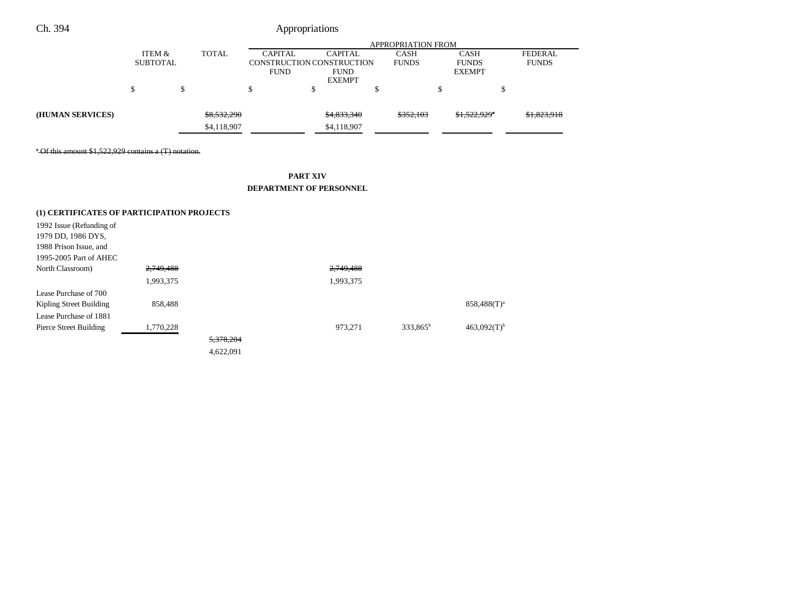### APPROPRIATION FROMITEM &**SUBTOTAL** TOTAL CAPITAL CONSTRUCTION FUND CAPITAL**CONSTRUCTION** FUND EXEMPTCASH FUNDS CASH FUNDS EXEMPT FEDERAL FUNDS  $\begin{array}{ccccccccccc} \mathsf{s} & \mathsf{s} & \mathsf{s} & \mathsf{s} & \mathsf{s} & \mathsf{s} & \mathsf{s} & \mathsf{s} & \mathsf{s} \end{array}$ Ch. 394 Appropriations **(HUMAN SERVICES)** \$8,532,290 \$4,833,340 \$352,103 \$1,522,929<sup>a</sup> \$1,823,918 \$4,118,907 \$4,118,907

a Of this amount \$1,522,929 contains a (T) notation.

### **PART XIV**

### **DEPARTMENT OF PERSONNEL**

### **(1) CERTIFICATES OF PARTICIPATION PROJECTS**

| 1992 Issue (Refunding of<br>1979 DD, 1986 DYS,<br>1988 Prison Issue, and |           |           |           |                      |                           |
|--------------------------------------------------------------------------|-----------|-----------|-----------|----------------------|---------------------------|
| 1995-2005 Part of AHEC                                                   |           |           |           |                      |                           |
| North Classroom)                                                         | 2,749,488 |           | 2,749,488 |                      |                           |
|                                                                          | 1,993,375 |           | 1,993,375 |                      |                           |
| Lease Purchase of 700                                                    |           |           |           |                      |                           |
| Kipling Street Building                                                  | 858,488   |           |           |                      | $858,488(T)^a$            |
| Lease Purchase of 1881                                                   |           |           |           |                      |                           |
| Pierce Street Building                                                   | 1,770,228 |           | 973,271   | 333,865 <sup>b</sup> | $463,092(T)$ <sup>b</sup> |
|                                                                          |           | 5,378,204 |           |                      |                           |
|                                                                          |           | 4,622,091 |           |                      |                           |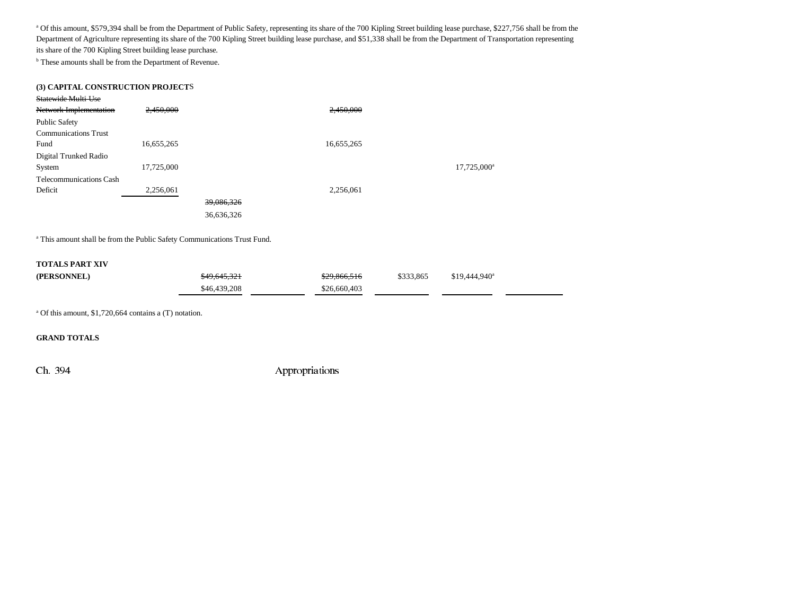a Of this amount, \$579,394 shall be from the Department of Public Safety, representing its share of the 700 Kipling Street building lease purchase, \$227,756 shall be from the Department of Agriculture representing its share of the 700 Kipling Street building lease purchase, and \$51,338 shall be from the Department of Transportation representing its share of the 700 Kipling Street building lease purchase.

**b** These amounts shall be from the Department of Revenue.

### **(3) CAPITAL CONSTRUCTION PROJECT**S

| Statewide Multi-Use           |            |            |                      |
|-------------------------------|------------|------------|----------------------|
| <b>Network Implementation</b> | 2,450,000  | 2,450,000  |                      |
| <b>Public Safety</b>          |            |            |                      |
| <b>Communications Trust</b>   |            |            |                      |
| Fund                          | 16,655,265 | 16,655,265 |                      |
| Digital Trunked Radio         |            |            |                      |
| System                        | 17,725,000 |            | $17,725,000^{\rm a}$ |
| Telecommunications Cash       |            |            |                      |
| Deficit                       | 2,256,061  | 2,256,061  |                      |
|                               |            | 39,086,326 |                      |
|                               |            | 36,636,326 |                      |

<sup>a</sup> This amount shall be from the Public Safety Communications Trust Fund.

### **TOTALS PART XIV**

| (PERSONNEL) | <del>\$49,645,321</del> | \$29,866,516 | \$333,865 | $$19,444,940$ <sup>a</sup> |
|-------------|-------------------------|--------------|-----------|----------------------------|
|             | \$46,439,208            | \$26,660,403 |           |                            |

a Of this amount, \$1,720,664 contains a (T) notation.

### **GRAND TOTALS**